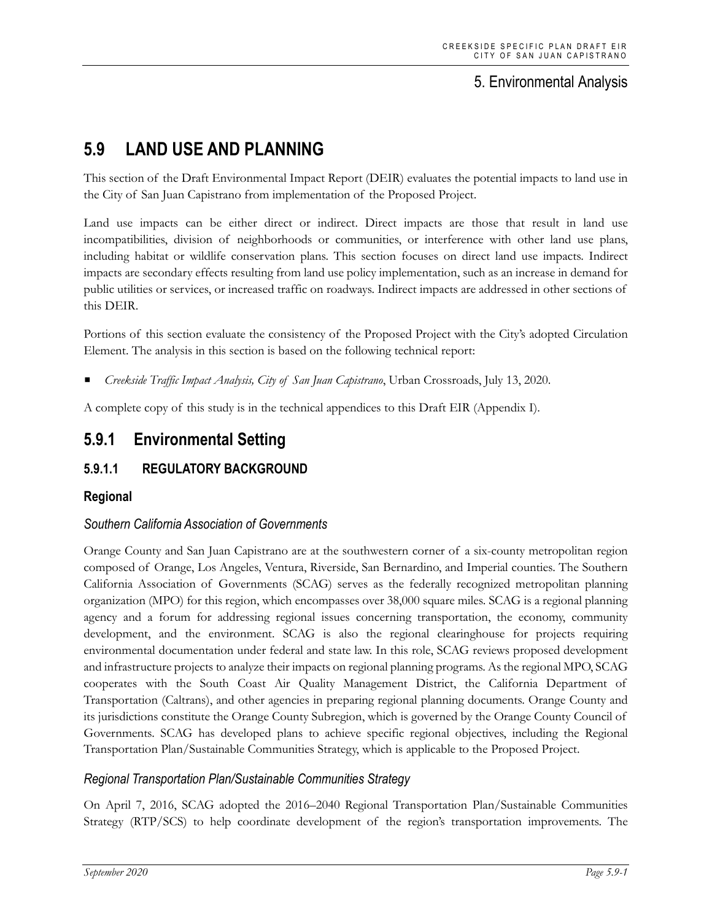# 5. Environmental Analysis

# **5.9 LAND USE AND PLANNING**

This section of the Draft Environmental Impact Report (DEIR) evaluates the potential impacts to land use in the City of San Juan Capistrano from implementation of the Proposed Project.

Land use impacts can be either direct or indirect. Direct impacts are those that result in land use incompatibilities, division of neighborhoods or communities, or interference with other land use plans, including habitat or wildlife conservation plans. This section focuses on direct land use impacts. Indirect impacts are secondary effects resulting from land use policy implementation, such as an increase in demand for public utilities or services, or increased traffic on roadways. Indirect impacts are addressed in other sections of this DEIR.

Portions of this section evaluate the consistency of the Proposed Project with the City's adopted Circulation Element. The analysis in this section is based on the following technical report:

*Creekside Traffic Impact Analysis, City of San Juan Capistrano*, Urban Crossroads, July 13, 2020.

A complete copy of this study is in the technical appendices to this Draft EIR (Appendix I).

# **5.9.1 Environmental Setting**

# **5.9.1.1 REGULATORY BACKGROUND**

# **Regional**

# *Southern California Association of Governments*

Orange County and San Juan Capistrano are at the southwestern corner of a six-county metropolitan region composed of Orange, Los Angeles, Ventura, Riverside, San Bernardino, and Imperial counties. The Southern California Association of Governments (SCAG) serves as the federally recognized metropolitan planning organization (MPO) for this region, which encompasses over 38,000 square miles. SCAG is a regional planning agency and a forum for addressing regional issues concerning transportation, the economy, community development, and the environment. SCAG is also the regional clearinghouse for projects requiring environmental documentation under federal and state law. In this role, SCAG reviews proposed development and infrastructure projects to analyze their impacts on regional planning programs. As the regional MPO, SCAG cooperates with the South Coast Air Quality Management District, the California Department of Transportation (Caltrans), and other agencies in preparing regional planning documents. Orange County and its jurisdictions constitute the Orange County Subregion, which is governed by the Orange County Council of Governments. SCAG has developed plans to achieve specific regional objectives, including the Regional Transportation Plan/Sustainable Communities Strategy, which is applicable to the Proposed Project.

# *Regional Transportation Plan/Sustainable Communities Strategy*

On April 7, 2016, SCAG adopted the 2016–2040 Regional Transportation Plan/Sustainable Communities Strategy (RTP/SCS) to help coordinate development of the region's transportation improvements. The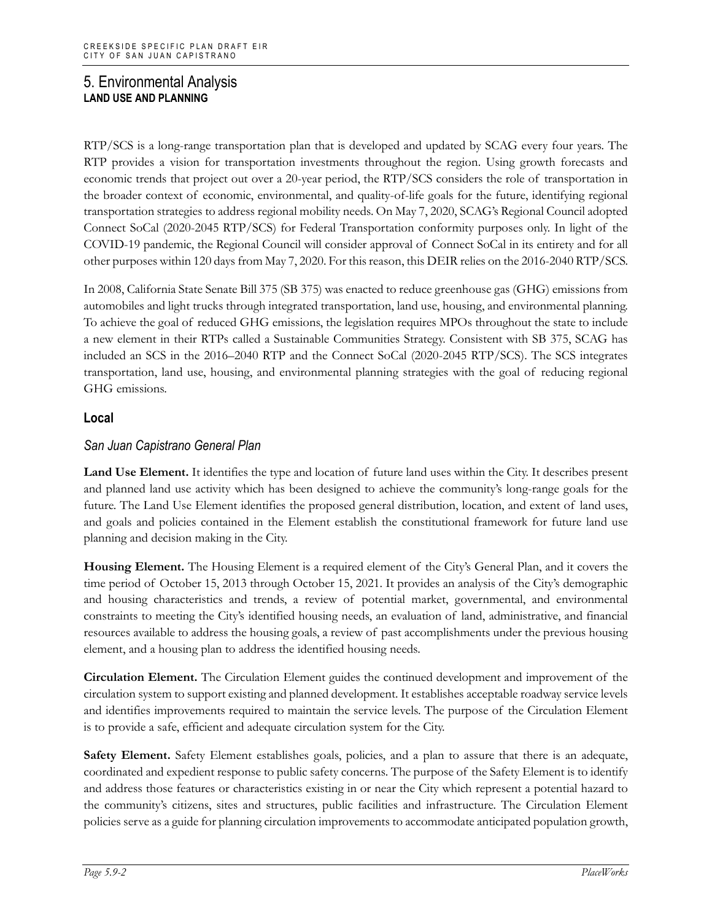RTP/SCS is a long-range transportation plan that is developed and updated by SCAG every four years. The RTP provides a vision for transportation investments throughout the region. Using growth forecasts and economic trends that project out over a 20-year period, the RTP/SCS considers the role of transportation in the broader context of economic, environmental, and quality-of-life goals for the future, identifying regional transportation strategies to address regional mobility needs. On May 7, 2020, SCAG's Regional Council adopted Connect SoCal (2020-2045 RTP/SCS) for Federal Transportation conformity purposes only. In light of the COVID-19 pandemic, the Regional Council will consider approval of Connect SoCal in its entirety and for all other purposes within 120 days from May 7, 2020. For this reason, this DEIR relies on the 2016-2040 RTP/SCS.

In 2008, California State Senate Bill 375 (SB 375) was enacted to reduce greenhouse gas (GHG) emissions from automobiles and light trucks through integrated transportation, land use, housing, and environmental planning. To achieve the goal of reduced GHG emissions, the legislation requires MPOs throughout the state to include a new element in their RTPs called a Sustainable Communities Strategy. Consistent with SB 375, SCAG has included an SCS in the 2016–2040 RTP and the Connect SoCal (2020-2045 RTP/SCS). The SCS integrates transportation, land use, housing, and environmental planning strategies with the goal of reducing regional GHG emissions.

## **Local**

# *San Juan Capistrano General Plan*

**Land Use Element.** It identifies the type and location of future land uses within the City. It describes present and planned land use activity which has been designed to achieve the community's long-range goals for the future. The Land Use Element identifies the proposed general distribution, location, and extent of land uses, and goals and policies contained in the Element establish the constitutional framework for future land use planning and decision making in the City.

**Housing Element.** The Housing Element is a required element of the City's General Plan, and it covers the time period of October 15, 2013 through October 15, 2021. It provides an analysis of the City's demographic and housing characteristics and trends, a review of potential market, governmental, and environmental constraints to meeting the City's identified housing needs, an evaluation of land, administrative, and financial resources available to address the housing goals, a review of past accomplishments under the previous housing element, and a housing plan to address the identified housing needs.

**Circulation Element.** The Circulation Element guides the continued development and improvement of the circulation system to support existing and planned development. It establishes acceptable roadway service levels and identifies improvements required to maintain the service levels. The purpose of the Circulation Element is to provide a safe, efficient and adequate circulation system for the City.

**Safety Element.** Safety Element establishes goals, policies, and a plan to assure that there is an adequate, coordinated and expedient response to public safety concerns. The purpose of the Safety Element is to identify and address those features or characteristics existing in or near the City which represent a potential hazard to the community's citizens, sites and structures, public facilities and infrastructure. The Circulation Element policies serve as a guide for planning circulation improvements to accommodate anticipated population growth,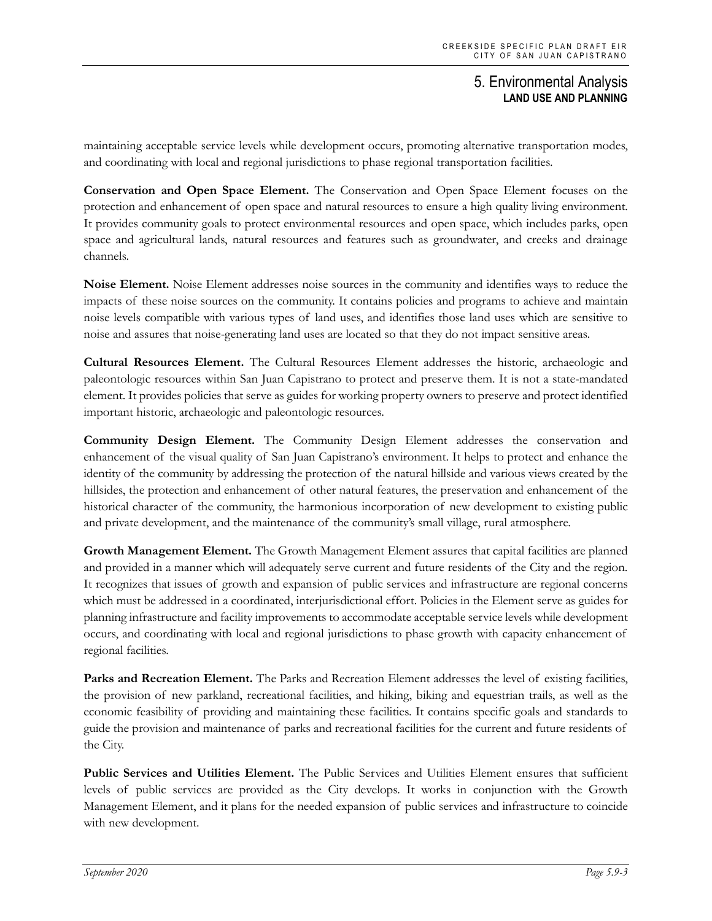maintaining acceptable service levels while development occurs, promoting alternative transportation modes, and coordinating with local and regional jurisdictions to phase regional transportation facilities.

**Conservation and Open Space Element.** The Conservation and Open Space Element focuses on the protection and enhancement of open space and natural resources to ensure a high quality living environment. It provides community goals to protect environmental resources and open space, which includes parks, open space and agricultural lands, natural resources and features such as groundwater, and creeks and drainage channels.

**Noise Element.** Noise Element addresses noise sources in the community and identifies ways to reduce the impacts of these noise sources on the community. It contains policies and programs to achieve and maintain noise levels compatible with various types of land uses, and identifies those land uses which are sensitive to noise and assures that noise-generating land uses are located so that they do not impact sensitive areas.

**Cultural Resources Element.** The Cultural Resources Element addresses the historic, archaeologic and paleontologic resources within San Juan Capistrano to protect and preserve them. It is not a state-mandated element. It provides policies that serve as guides for working property owners to preserve and protect identified important historic, archaeologic and paleontologic resources.

**Community Design Element.** The Community Design Element addresses the conservation and enhancement of the visual quality of San Juan Capistrano's environment. It helps to protect and enhance the identity of the community by addressing the protection of the natural hillside and various views created by the hillsides, the protection and enhancement of other natural features, the preservation and enhancement of the historical character of the community, the harmonious incorporation of new development to existing public and private development, and the maintenance of the community's small village, rural atmosphere.

**Growth Management Element.** The Growth Management Element assures that capital facilities are planned and provided in a manner which will adequately serve current and future residents of the City and the region. It recognizes that issues of growth and expansion of public services and infrastructure are regional concerns which must be addressed in a coordinated, interjurisdictional effort. Policies in the Element serve as guides for planning infrastructure and facility improvements to accommodate acceptable service levels while development occurs, and coordinating with local and regional jurisdictions to phase growth with capacity enhancement of regional facilities.

**Parks and Recreation Element.** The Parks and Recreation Element addresses the level of existing facilities, the provision of new parkland, recreational facilities, and hiking, biking and equestrian trails, as well as the economic feasibility of providing and maintaining these facilities. It contains specific goals and standards to guide the provision and maintenance of parks and recreational facilities for the current and future residents of the City.

**Public Services and Utilities Element.** The Public Services and Utilities Element ensures that sufficient levels of public services are provided as the City develops. It works in conjunction with the Growth Management Element, and it plans for the needed expansion of public services and infrastructure to coincide with new development.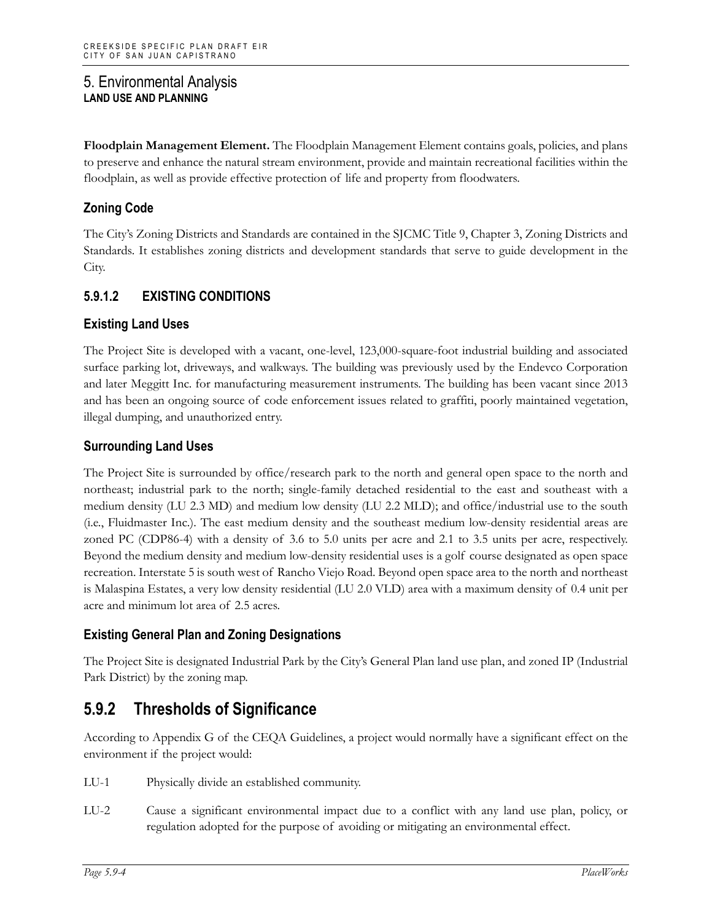**Floodplain Management Element.** The Floodplain Management Element contains goals, policies, and plans to preserve and enhance the natural stream environment, provide and maintain recreational facilities within the floodplain, as well as provide effective protection of life and property from floodwaters.

# **Zoning Code**

The City's Zoning Districts and Standards are contained in the SJCMC Title 9, Chapter 3, Zoning Districts and Standards. It establishes zoning districts and development standards that serve to guide development in the City.

# **5.9.1.2 EXISTING CONDITIONS**

# **Existing Land Uses**

The Project Site is developed with a vacant, one-level, 123,000-square-foot industrial building and associated surface parking lot, driveways, and walkways. The building was previously used by the Endevco Corporation and later Meggitt Inc. for manufacturing measurement instruments. The building has been vacant since 2013 and has been an ongoing source of code enforcement issues related to graffiti, poorly maintained vegetation, illegal dumping, and unauthorized entry.

# **Surrounding Land Uses**

The Project Site is surrounded by office/research park to the north and general open space to the north and northeast; industrial park to the north; single-family detached residential to the east and southeast with a medium density (LU 2.3 MD) and medium low density (LU 2.2 MLD); and office/industrial use to the south (i.e., Fluidmaster Inc.). The east medium density and the southeast medium low-density residential areas are zoned PC (CDP86-4) with a density of 3.6 to 5.0 units per acre and 2.1 to 3.5 units per acre, respectively. Beyond the medium density and medium low-density residential uses is a golf course designated as open space recreation. Interstate 5 is south west of Rancho Viejo Road. Beyond open space area to the north and northeast is Malaspina Estates, a very low density residential (LU 2.0 VLD) area with a maximum density of 0.4 unit per acre and minimum lot area of 2.5 acres.

# **Existing General Plan and Zoning Designations**

The Project Site is designated Industrial Park by the City's General Plan land use plan, and zoned IP (Industrial Park District) by the zoning map.

# **5.9.2 Thresholds of Significance**

According to Appendix G of the CEQA Guidelines, a project would normally have a significant effect on the environment if the project would:

- LU-1 Physically divide an established community.
- LU-2 Cause a significant environmental impact due to a conflict with any land use plan, policy, or regulation adopted for the purpose of avoiding or mitigating an environmental effect.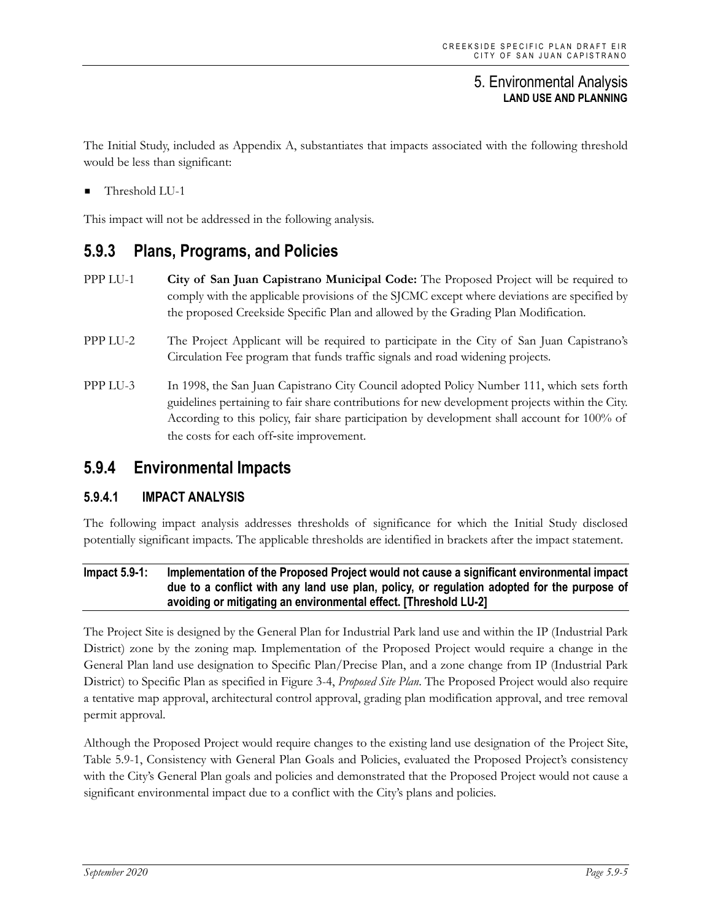The Initial Study, included as Appendix A, substantiates that impacts associated with the following threshold would be less than significant:

Threshold LU-1

This impact will not be addressed in the following analysis.

# **5.9.3 Plans, Programs, and Policies**

- PPP LU-1 **City of San Juan Capistrano Municipal Code:** The Proposed Project will be required to comply with the applicable provisions of the SJCMC except where deviations are specified by the proposed Creekside Specific Plan and allowed by the Grading Plan Modification.
- PPP LU-2 The Project Applicant will be required to participate in the City of San Juan Capistrano's Circulation Fee program that funds traffic signals and road widening projects.
- PPP LU-3 In 1998, the San Juan Capistrano City Council adopted Policy Number 111, which sets forth guidelines pertaining to fair share contributions for new development projects within the City. According to this policy, fair share participation by development shall account for 100% of the costs for each off‐site improvement.

# **5.9.4 Environmental Impacts**

# **5.9.4.1 IMPACT ANALYSIS**

The following impact analysis addresses thresholds of significance for which the Initial Study disclosed potentially significant impacts. The applicable thresholds are identified in brackets after the impact statement.

#### **Impact 5.9-1: Implementation of the Proposed Project would not cause a significant environmental impact due to a conflict with any land use plan, policy, or regulation adopted for the purpose of avoiding or mitigating an environmental effect. [Threshold LU-2]**

The Project Site is designed by the General Plan for Industrial Park land use and within the IP (Industrial Park District) zone by the zoning map. Implementation of the Proposed Project would require a change in the General Plan land use designation to Specific Plan/Precise Plan, and a zone change from IP (Industrial Park District) to Specific Plan as specified in Figure 3-4, *Proposed Site Plan*. The Proposed Project would also require a tentative map approval, architectural control approval, grading plan modification approval, and tree removal permit approval.

Although the Proposed Project would require changes to the existing land use designation of the Project Site, Table 5.9-1, Consistency with General Plan Goals and Policies, evaluated the Proposed Project's consistency with the City's General Plan goals and policies and demonstrated that the Proposed Project would not cause a significant environmental impact due to a conflict with the City's plans and policies.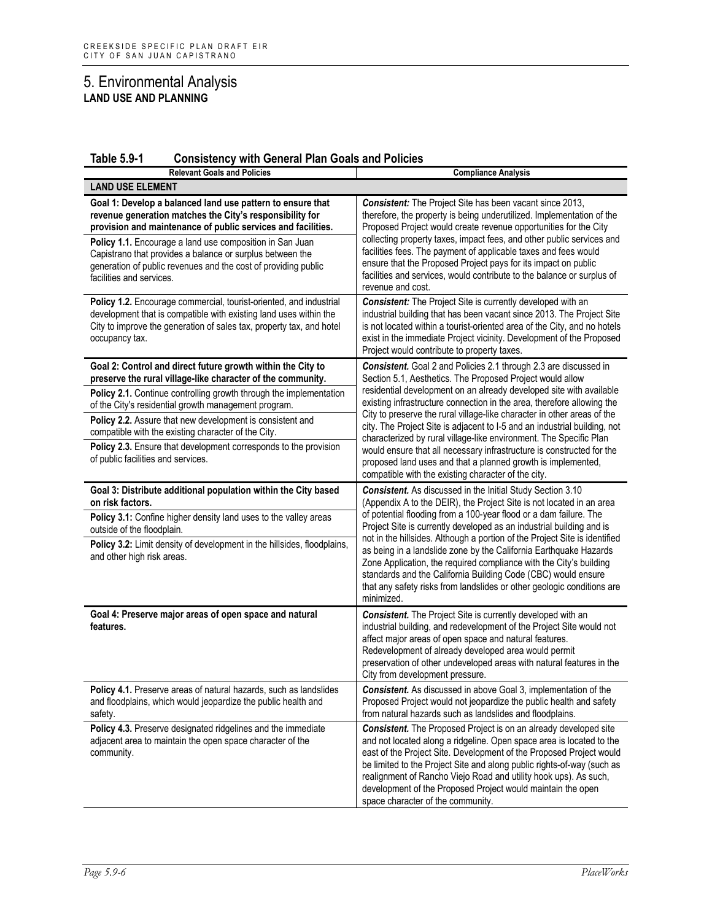| <b>Table 5.9-1</b><br><b>Consistency with General Plan Goals and Policies</b> |  |
|-------------------------------------------------------------------------------|--|
|-------------------------------------------------------------------------------|--|

| <b>Relevant Goals and Policies</b>                                                                                                                                                                                                                 | <b>Compliance Analysis</b>                                                                                                                                                                                                                                                                                                                                                                                                                                               |
|----------------------------------------------------------------------------------------------------------------------------------------------------------------------------------------------------------------------------------------------------|--------------------------------------------------------------------------------------------------------------------------------------------------------------------------------------------------------------------------------------------------------------------------------------------------------------------------------------------------------------------------------------------------------------------------------------------------------------------------|
| <b>LAND USE ELEMENT</b>                                                                                                                                                                                                                            |                                                                                                                                                                                                                                                                                                                                                                                                                                                                          |
| Goal 1: Develop a balanced land use pattern to ensure that<br>revenue generation matches the City's responsibility for<br>provision and maintenance of public services and facilities.<br>Policy 1.1. Encourage a land use composition in San Juan | <b>Consistent:</b> The Project Site has been vacant since 2013,<br>therefore, the property is being underutilized. Implementation of the<br>Proposed Project would create revenue opportunities for the City<br>collecting property taxes, impact fees, and other public services and                                                                                                                                                                                    |
| Capistrano that provides a balance or surplus between the<br>generation of public revenues and the cost of providing public<br>facilities and services.                                                                                            | facilities fees. The payment of applicable taxes and fees would<br>ensure that the Proposed Project pays for its impact on public<br>facilities and services, would contribute to the balance or surplus of<br>revenue and cost.                                                                                                                                                                                                                                         |
| Policy 1.2. Encourage commercial, tourist-oriented, and industrial<br>development that is compatible with existing land uses within the<br>City to improve the generation of sales tax, property tax, and hotel<br>occupancy tax.                  | <b>Consistent:</b> The Project Site is currently developed with an<br>industrial building that has been vacant since 2013. The Project Site<br>is not located within a tourist-oriented area of the City, and no hotels<br>exist in the immediate Project vicinity. Development of the Proposed<br>Project would contribute to property taxes.                                                                                                                           |
| Goal 2: Control and direct future growth within the City to<br>preserve the rural village-like character of the community.                                                                                                                         | Consistent. Goal 2 and Policies 2.1 through 2.3 are discussed in<br>Section 5.1, Aesthetics. The Proposed Project would allow                                                                                                                                                                                                                                                                                                                                            |
| Policy 2.1. Continue controlling growth through the implementation<br>of the City's residential growth management program.                                                                                                                         | residential development on an already developed site with available<br>existing infrastructure connection in the area, therefore allowing the<br>City to preserve the rural village-like character in other areas of the                                                                                                                                                                                                                                                 |
| Policy 2.2. Assure that new development is consistent and<br>compatible with the existing character of the City.                                                                                                                                   | city. The Project Site is adjacent to I-5 and an industrial building, not<br>characterized by rural village-like environment. The Specific Plan                                                                                                                                                                                                                                                                                                                          |
| Policy 2.3. Ensure that development corresponds to the provision<br>of public facilities and services.                                                                                                                                             | would ensure that all necessary infrastructure is constructed for the<br>proposed land uses and that a planned growth is implemented,<br>compatible with the existing character of the city.                                                                                                                                                                                                                                                                             |
| Goal 3: Distribute additional population within the City based<br>on risk factors.                                                                                                                                                                 | Consistent. As discussed in the Initial Study Section 3.10<br>(Appendix A to the DEIR), the Project Site is not located in an area                                                                                                                                                                                                                                                                                                                                       |
| Policy 3.1: Confine higher density land uses to the valley areas<br>outside of the floodplain.                                                                                                                                                     | of potential flooding from a 100-year flood or a dam failure. The<br>Project Site is currently developed as an industrial building and is<br>not in the hillsides. Although a portion of the Project Site is identified                                                                                                                                                                                                                                                  |
| Policy 3.2: Limit density of development in the hillsides, floodplains,<br>and other high risk areas.                                                                                                                                              | as being in a landslide zone by the California Earthquake Hazards<br>Zone Application, the required compliance with the City's building<br>standards and the California Building Code (CBC) would ensure<br>that any safety risks from landslides or other geologic conditions are<br>minimized.                                                                                                                                                                         |
| Goal 4: Preserve major areas of open space and natural<br>features.                                                                                                                                                                                | <b>Consistent.</b> The Project Site is currently developed with an<br>industrial building, and redevelopment of the Project Site would not<br>affect major areas of open space and natural features.<br>Redevelopment of already developed area would permit<br>preservation of other undeveloped areas with natural features in the<br>City from development pressure.                                                                                                  |
| Policy 4.1. Preserve areas of natural hazards, such as landslides<br>and floodplains, which would jeopardize the public health and<br>safety.                                                                                                      | Consistent. As discussed in above Goal 3, implementation of the<br>Proposed Project would not jeopardize the public health and safety<br>from natural hazards such as landslides and floodplains.                                                                                                                                                                                                                                                                        |
| Policy 4.3. Preserve designated ridgelines and the immediate<br>adjacent area to maintain the open space character of the<br>community.                                                                                                            | <b>Consistent.</b> The Proposed Project is on an already developed site<br>and not located along a ridgeline. Open space area is located to the<br>east of the Project Site. Development of the Proposed Project would<br>be limited to the Project Site and along public rights-of-way (such as<br>realignment of Rancho Viejo Road and utility hook ups). As such,<br>development of the Proposed Project would maintain the open<br>space character of the community. |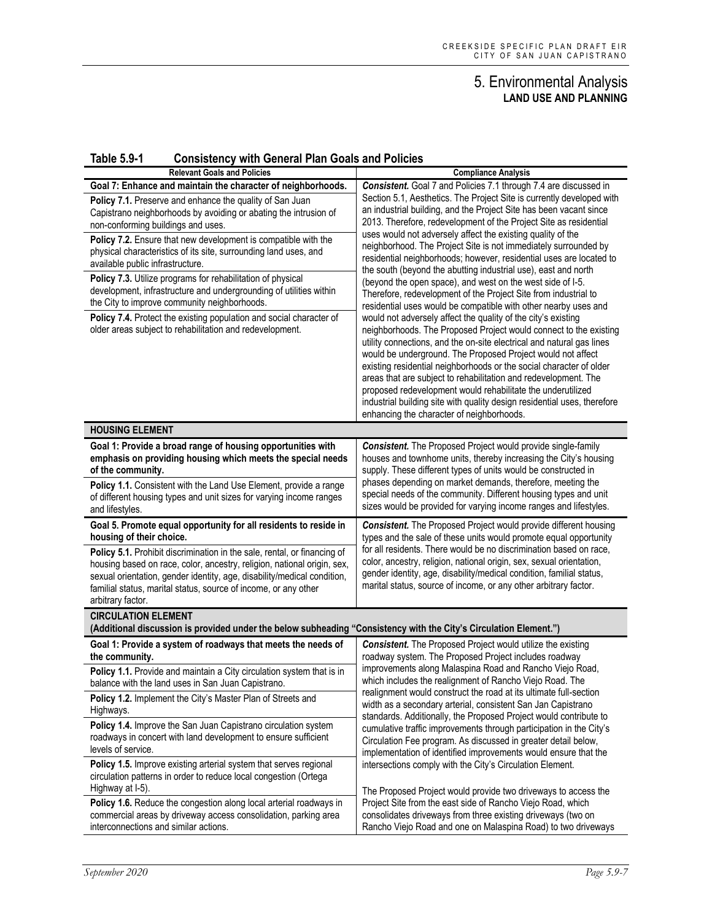| <b>Table 5.9-1</b> | <b>Consistency with General Plan Goals and Policies</b> |  |  |  |
|--------------------|---------------------------------------------------------|--|--|--|
|--------------------|---------------------------------------------------------|--|--|--|

| <b>Relevant Goals and Policies</b>                                                                                                                                                                                                                                                                                                                                                                                                                                                                                                                                                                                                                                                                                                   | <b>Compliance Analysis</b>                                                                                                                                                                                                                                                                                                                                                                                                                                                                                                                                                                                                                                                                                                                                                                                                                                                                                                                                                                                                                                                                                                                                                                                                                                                                                                                                                          |
|--------------------------------------------------------------------------------------------------------------------------------------------------------------------------------------------------------------------------------------------------------------------------------------------------------------------------------------------------------------------------------------------------------------------------------------------------------------------------------------------------------------------------------------------------------------------------------------------------------------------------------------------------------------------------------------------------------------------------------------|-------------------------------------------------------------------------------------------------------------------------------------------------------------------------------------------------------------------------------------------------------------------------------------------------------------------------------------------------------------------------------------------------------------------------------------------------------------------------------------------------------------------------------------------------------------------------------------------------------------------------------------------------------------------------------------------------------------------------------------------------------------------------------------------------------------------------------------------------------------------------------------------------------------------------------------------------------------------------------------------------------------------------------------------------------------------------------------------------------------------------------------------------------------------------------------------------------------------------------------------------------------------------------------------------------------------------------------------------------------------------------------|
| Goal 7: Enhance and maintain the character of neighborhoods.<br>Policy 7.1. Preserve and enhance the quality of San Juan<br>Capistrano neighborhoods by avoiding or abating the intrusion of<br>non-conforming buildings and uses.<br>Policy 7.2. Ensure that new development is compatible with the<br>physical characteristics of its site, surrounding land uses, and<br>available public infrastructure.<br>Policy 7.3. Utilize programs for rehabilitation of physical<br>development, infrastructure and undergrounding of utilities within<br>the City to improve community neighborhoods.<br>Policy 7.4. Protect the existing population and social character of<br>older areas subject to rehabilitation and redevelopment. | Consistent. Goal 7 and Policies 7.1 through 7.4 are discussed in<br>Section 5.1, Aesthetics. The Project Site is currently developed with<br>an industrial building, and the Project Site has been vacant since<br>2013. Therefore, redevelopment of the Project Site as residential<br>uses would not adversely affect the existing quality of the<br>neighborhood. The Project Site is not immediately surrounded by<br>residential neighborhoods; however, residential uses are located to<br>the south (beyond the abutting industrial use), east and north<br>(beyond the open space), and west on the west side of I-5.<br>Therefore, redevelopment of the Project Site from industrial to<br>residential uses would be compatible with other nearby uses and<br>would not adversely affect the quality of the city's existing<br>neighborhoods. The Proposed Project would connect to the existing<br>utility connections, and the on-site electrical and natural gas lines<br>would be underground. The Proposed Project would not affect<br>existing residential neighborhoods or the social character of older<br>areas that are subject to rehabilitation and redevelopment. The<br>proposed redevelopment would rehabilitate the underutilized<br>industrial building site with quality design residential uses, therefore<br>enhancing the character of neighborhoods. |
| <b>HOUSING ELEMENT</b>                                                                                                                                                                                                                                                                                                                                                                                                                                                                                                                                                                                                                                                                                                               |                                                                                                                                                                                                                                                                                                                                                                                                                                                                                                                                                                                                                                                                                                                                                                                                                                                                                                                                                                                                                                                                                                                                                                                                                                                                                                                                                                                     |
| Goal 1: Provide a broad range of housing opportunities with<br>emphasis on providing housing which meets the special needs<br>of the community.<br>Policy 1.1. Consistent with the Land Use Element, provide a range<br>of different housing types and unit sizes for varying income ranges<br>and lifestyles.                                                                                                                                                                                                                                                                                                                                                                                                                       | <b>Consistent.</b> The Proposed Project would provide single-family<br>houses and townhome units, thereby increasing the City's housing<br>supply. These different types of units would be constructed in<br>phases depending on market demands, therefore, meeting the<br>special needs of the community. Different housing types and unit<br>sizes would be provided for varying income ranges and lifestyles.                                                                                                                                                                                                                                                                                                                                                                                                                                                                                                                                                                                                                                                                                                                                                                                                                                                                                                                                                                    |
| Goal 5. Promote equal opportunity for all residents to reside in<br>housing of their choice.<br>Policy 5.1. Prohibit discrimination in the sale, rental, or financing of<br>housing based on race, color, ancestry, religion, national origin, sex,<br>sexual orientation, gender identity, age, disability/medical condition,<br>familial status, marital status, source of income, or any other<br>arbitrary factor.                                                                                                                                                                                                                                                                                                               | <b>Consistent.</b> The Proposed Project would provide different housing<br>types and the sale of these units would promote equal opportunity<br>for all residents. There would be no discrimination based on race,<br>color, ancestry, religion, national origin, sex, sexual orientation,<br>gender identity, age, disability/medical condition, familial status,<br>marital status, source of income, or any other arbitrary factor.                                                                                                                                                                                                                                                                                                                                                                                                                                                                                                                                                                                                                                                                                                                                                                                                                                                                                                                                              |
| <b>CIRCULATION ELEMENT</b><br>(Additional discussion is provided under the below subheading "Consistency with the City's Circulation Element.")                                                                                                                                                                                                                                                                                                                                                                                                                                                                                                                                                                                      |                                                                                                                                                                                                                                                                                                                                                                                                                                                                                                                                                                                                                                                                                                                                                                                                                                                                                                                                                                                                                                                                                                                                                                                                                                                                                                                                                                                     |
| Goal 1: Provide a system of roadways that meets the needs of<br>the community.<br>Policy 1.1. Provide and maintain a City circulation system that is in<br>balance with the land uses in San Juan Capistrano.                                                                                                                                                                                                                                                                                                                                                                                                                                                                                                                        | <b>Consistent.</b> The Proposed Project would utilize the existing<br>roadway system. The Proposed Project includes roadway<br>improvements along Malaspina Road and Rancho Viejo Road,<br>which includes the realignment of Rancho Viejo Road. The                                                                                                                                                                                                                                                                                                                                                                                                                                                                                                                                                                                                                                                                                                                                                                                                                                                                                                                                                                                                                                                                                                                                 |
| Policy 1.2. Implement the City's Master Plan of Streets and<br>Highways.                                                                                                                                                                                                                                                                                                                                                                                                                                                                                                                                                                                                                                                             | realignment would construct the road at its ultimate full-section<br>width as a secondary arterial, consistent San Jan Capistrano                                                                                                                                                                                                                                                                                                                                                                                                                                                                                                                                                                                                                                                                                                                                                                                                                                                                                                                                                                                                                                                                                                                                                                                                                                                   |
| Policy 1.4. Improve the San Juan Capistrano circulation system<br>roadways in concert with land development to ensure sufficient<br>levels of service.<br>Policy 1.5. Improve existing arterial system that serves regional                                                                                                                                                                                                                                                                                                                                                                                                                                                                                                          | standards. Additionally, the Proposed Project would contribute to<br>cumulative traffic improvements through participation in the City's<br>Circulation Fee program. As discussed in greater detail below,<br>implementation of identified improvements would ensure that the<br>intersections comply with the City's Circulation Element.                                                                                                                                                                                                                                                                                                                                                                                                                                                                                                                                                                                                                                                                                                                                                                                                                                                                                                                                                                                                                                          |
| circulation patterns in order to reduce local congestion (Ortega<br>Highway at I-5).                                                                                                                                                                                                                                                                                                                                                                                                                                                                                                                                                                                                                                                 | The Proposed Project would provide two driveways to access the                                                                                                                                                                                                                                                                                                                                                                                                                                                                                                                                                                                                                                                                                                                                                                                                                                                                                                                                                                                                                                                                                                                                                                                                                                                                                                                      |
| Policy 1.6. Reduce the congestion along local arterial roadways in<br>commercial areas by driveway access consolidation, parking area<br>interconnections and similar actions.                                                                                                                                                                                                                                                                                                                                                                                                                                                                                                                                                       | Project Site from the east side of Rancho Viejo Road, which<br>consolidates driveways from three existing driveways (two on<br>Rancho Viejo Road and one on Malaspina Road) to two driveways                                                                                                                                                                                                                                                                                                                                                                                                                                                                                                                                                                                                                                                                                                                                                                                                                                                                                                                                                                                                                                                                                                                                                                                        |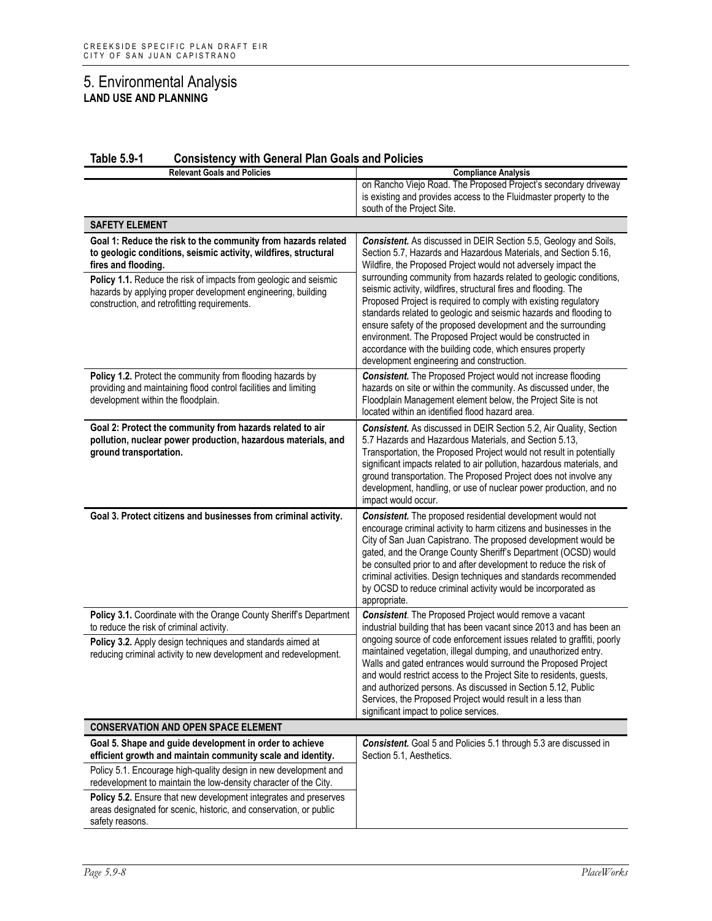| <b>Relevant Goals and Policies</b>                                                                                                                                                                                                                                                                                                          | <b>Compliance Analysis</b>                                                                                                                                                                                                                                                                                                                                                                                                                                                                                                                                                                                                                                                                                                    |
|---------------------------------------------------------------------------------------------------------------------------------------------------------------------------------------------------------------------------------------------------------------------------------------------------------------------------------------------|-------------------------------------------------------------------------------------------------------------------------------------------------------------------------------------------------------------------------------------------------------------------------------------------------------------------------------------------------------------------------------------------------------------------------------------------------------------------------------------------------------------------------------------------------------------------------------------------------------------------------------------------------------------------------------------------------------------------------------|
|                                                                                                                                                                                                                                                                                                                                             | on Rancho Viejo Road. The Proposed Project's secondary driveway<br>is existing and provides access to the Fluidmaster property to the<br>south of the Project Site.                                                                                                                                                                                                                                                                                                                                                                                                                                                                                                                                                           |
| <b>SAFETY ELEMENT</b>                                                                                                                                                                                                                                                                                                                       |                                                                                                                                                                                                                                                                                                                                                                                                                                                                                                                                                                                                                                                                                                                               |
| Goal 1: Reduce the risk to the community from hazards related<br>to geologic conditions, seismic activity, wildfires, structural<br>fires and flooding.<br>Policy 1.1. Reduce the risk of impacts from geologic and seismic<br>hazards by applying proper development engineering, building<br>construction, and retrofitting requirements. | Consistent. As discussed in DEIR Section 5.5, Geology and Soils,<br>Section 5.7, Hazards and Hazardous Materials, and Section 5.16,<br>Wildfire, the Proposed Project would not adversely impact the<br>surrounding community from hazards related to geologic conditions,<br>seismic activity, wildfires, structural fires and flooding. The<br>Proposed Project is required to comply with existing regulatory<br>standards related to geologic and seismic hazards and flooding to<br>ensure safety of the proposed development and the surrounding<br>environment. The Proposed Project would be constructed in<br>accordance with the building code, which ensures property<br>development engineering and construction. |
| Policy 1.2. Protect the community from flooding hazards by<br>providing and maintaining flood control facilities and limiting<br>development within the floodplain.                                                                                                                                                                         | <b>Consistent.</b> The Proposed Project would not increase flooding<br>hazards on site or within the community. As discussed under, the<br>Floodplain Management element below, the Project Site is not<br>located within an identified flood hazard area.                                                                                                                                                                                                                                                                                                                                                                                                                                                                    |
| Goal 2: Protect the community from hazards related to air<br>pollution, nuclear power production, hazardous materials, and<br>ground transportation.                                                                                                                                                                                        | Consistent. As discussed in DEIR Section 5.2, Air Quality, Section<br>5.7 Hazards and Hazardous Materials, and Section 5.13,<br>Transportation, the Proposed Project would not result in potentially<br>significant impacts related to air pollution, hazardous materials, and<br>ground transportation. The Proposed Project does not involve any<br>development, handling, or use of nuclear power production, and no<br>impact would occur.                                                                                                                                                                                                                                                                                |
| Goal 3. Protect citizens and businesses from criminal activity.                                                                                                                                                                                                                                                                             | Consistent. The proposed residential development would not<br>encourage criminal activity to harm citizens and businesses in the<br>City of San Juan Capistrano. The proposed development would be<br>gated, and the Orange County Sheriff's Department (OCSD) would<br>be consulted prior to and after development to reduce the risk of<br>criminal activities. Design techniques and standards recommended<br>by OCSD to reduce criminal activity would be incorporated as<br>appropriate.                                                                                                                                                                                                                                 |
| Policy 3.1. Coordinate with the Orange County Sheriff's Department<br>to reduce the risk of criminal activity.<br>Policy 3.2. Apply design techniques and standards aimed at<br>reducing criminal activity to new development and redevelopment.                                                                                            | <b>Consistent</b> . The Proposed Project would remove a vacant<br>industrial building that has been vacant since 2013 and has been an<br>ongoing source of code enforcement issues related to graffiti, poorly<br>maintained vegetation, illegal dumping, and unauthorized entry.<br>Walls and gated entrances would surround the Proposed Project<br>and would restrict access to the Project Site to residents, guests,<br>and authorized persons. As discussed in Section 5.12, Public<br>Services, the Proposed Project would result in a less than                                                                                                                                                                       |
|                                                                                                                                                                                                                                                                                                                                             | significant impact to police services.                                                                                                                                                                                                                                                                                                                                                                                                                                                                                                                                                                                                                                                                                        |
| <b>CONSERVATION AND OPEN SPACE ELEMENT</b>                                                                                                                                                                                                                                                                                                  |                                                                                                                                                                                                                                                                                                                                                                                                                                                                                                                                                                                                                                                                                                                               |
| Goal 5. Shape and guide development in order to achieve<br>efficient growth and maintain community scale and identity.                                                                                                                                                                                                                      | Consistent. Goal 5 and Policies 5.1 through 5.3 are discussed in<br>Section 5.1, Aesthetics.                                                                                                                                                                                                                                                                                                                                                                                                                                                                                                                                                                                                                                  |
| Policy 5.1. Encourage high-quality design in new development and<br>redevelopment to maintain the low-density character of the City.                                                                                                                                                                                                        |                                                                                                                                                                                                                                                                                                                                                                                                                                                                                                                                                                                                                                                                                                                               |
| Policy 5.2. Ensure that new development integrates and preserves<br>areas designated for scenic, historic, and conservation, or public<br>safety reasons.                                                                                                                                                                                   |                                                                                                                                                                                                                                                                                                                                                                                                                                                                                                                                                                                                                                                                                                                               |

#### **Table 5.9-1 Consistency with General Plan Goals and Policies**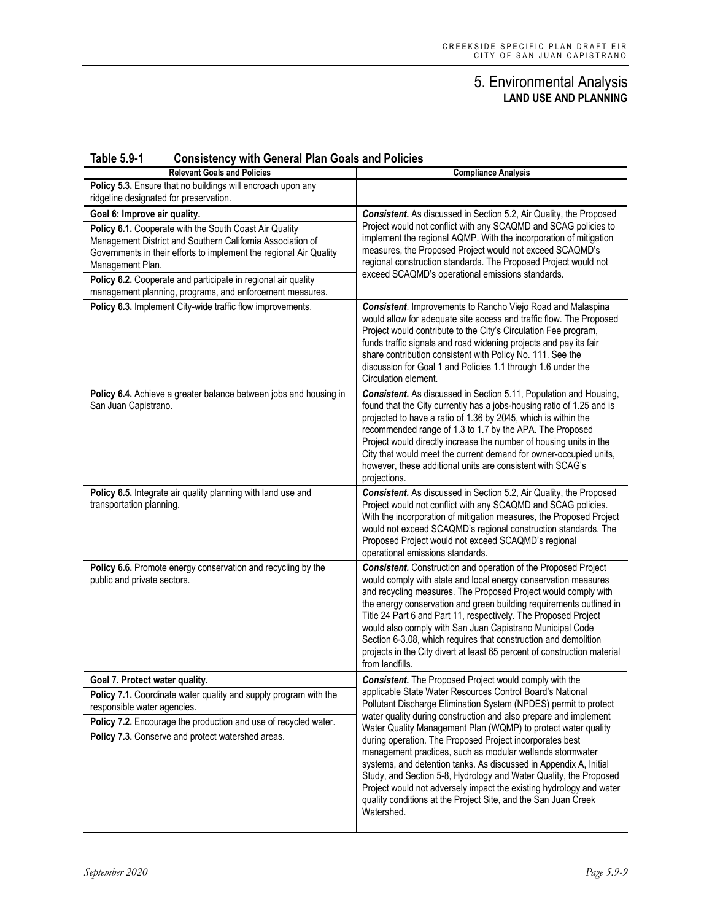| <b>Table 5.9-1</b> |  | <b>Consistency with General Plan Goals and Policies</b> |
|--------------------|--|---------------------------------------------------------|
|--------------------|--|---------------------------------------------------------|

| <b>Relevant Goals and Policies</b>                                                                                                                                                                                                                                              | <b>Compliance Analysis</b>                                                                                                                                                                                                                                                                                                                                                                                                                                                                                                                                                         |
|---------------------------------------------------------------------------------------------------------------------------------------------------------------------------------------------------------------------------------------------------------------------------------|------------------------------------------------------------------------------------------------------------------------------------------------------------------------------------------------------------------------------------------------------------------------------------------------------------------------------------------------------------------------------------------------------------------------------------------------------------------------------------------------------------------------------------------------------------------------------------|
| Policy 5.3. Ensure that no buildings will encroach upon any<br>ridgeline designated for preservation.                                                                                                                                                                           |                                                                                                                                                                                                                                                                                                                                                                                                                                                                                                                                                                                    |
| Goal 6: Improve air quality.                                                                                                                                                                                                                                                    | Consistent. As discussed in Section 5.2, Air Quality, the Proposed                                                                                                                                                                                                                                                                                                                                                                                                                                                                                                                 |
| Policy 6.1. Cooperate with the South Coast Air Quality<br>Management District and Southern California Association of<br>Governments in their efforts to implement the regional Air Quality<br>Management Plan.<br>Policy 6.2. Cooperate and participate in regional air quality | Project would not conflict with any SCAQMD and SCAG policies to<br>implement the regional AQMP. With the incorporation of mitigation<br>measures, the Proposed Project would not exceed SCAQMD's<br>regional construction standards. The Proposed Project would not<br>exceed SCAQMD's operational emissions standards.                                                                                                                                                                                                                                                            |
| management planning, programs, and enforcement measures.                                                                                                                                                                                                                        |                                                                                                                                                                                                                                                                                                                                                                                                                                                                                                                                                                                    |
| Policy 6.3. Implement City-wide traffic flow improvements.                                                                                                                                                                                                                      | <b>Consistent.</b> Improvements to Rancho Viejo Road and Malaspina<br>would allow for adequate site access and traffic flow. The Proposed<br>Project would contribute to the City's Circulation Fee program,<br>funds traffic signals and road widening projects and pay its fair<br>share contribution consistent with Policy No. 111. See the<br>discussion for Goal 1 and Policies 1.1 through 1.6 under the<br>Circulation element.                                                                                                                                            |
| Policy 6.4. Achieve a greater balance between jobs and housing in<br>San Juan Capistrano.                                                                                                                                                                                       | Consistent. As discussed in Section 5.11, Population and Housing,<br>found that the City currently has a jobs-housing ratio of 1.25 and is<br>projected to have a ratio of 1.36 by 2045, which is within the<br>recommended range of 1.3 to 1.7 by the APA. The Proposed<br>Project would directly increase the number of housing units in the<br>City that would meet the current demand for owner-occupied units,<br>however, these additional units are consistent with SCAG's<br>projections.                                                                                  |
| Policy 6.5. Integrate air quality planning with land use and<br>transportation planning.                                                                                                                                                                                        | Consistent. As discussed in Section 5.2, Air Quality, the Proposed<br>Project would not conflict with any SCAQMD and SCAG policies.<br>With the incorporation of mitigation measures, the Proposed Project<br>would not exceed SCAQMD's regional construction standards. The<br>Proposed Project would not exceed SCAQMD's regional<br>operational emissions standards.                                                                                                                                                                                                            |
| Policy 6.6. Promote energy conservation and recycling by the<br>public and private sectors.                                                                                                                                                                                     | <b>Consistent.</b> Construction and operation of the Proposed Project<br>would comply with state and local energy conservation measures<br>and recycling measures. The Proposed Project would comply with<br>the energy conservation and green building requirements outlined in<br>Title 24 Part 6 and Part 11, respectively. The Proposed Project<br>would also comply with San Juan Capistrano Municipal Code<br>Section 6-3.08, which requires that construction and demolition<br>projects in the City divert at least 65 percent of construction material<br>from landfills. |
| Goal 7. Protect water quality.                                                                                                                                                                                                                                                  | <b>Consistent.</b> The Proposed Project would comply with the                                                                                                                                                                                                                                                                                                                                                                                                                                                                                                                      |
| Policy 7.1. Coordinate water quality and supply program with the<br>responsible water agencies.<br>Policy 7.2. Encourage the production and use of recycled water.                                                                                                              | applicable State Water Resources Control Board's National<br>Pollutant Discharge Elimination System (NPDES) permit to protect<br>water quality during construction and also prepare and implement                                                                                                                                                                                                                                                                                                                                                                                  |
| Policy 7.3. Conserve and protect watershed areas.                                                                                                                                                                                                                               | Water Quality Management Plan (WQMP) to protect water quality<br>during operation. The Proposed Project incorporates best<br>management practices, such as modular wetlands stormwater<br>systems, and detention tanks. As discussed in Appendix A, Initial<br>Study, and Section 5-8, Hydrology and Water Quality, the Proposed<br>Project would not adversely impact the existing hydrology and water<br>quality conditions at the Project Site, and the San Juan Creek<br>Watershed.                                                                                            |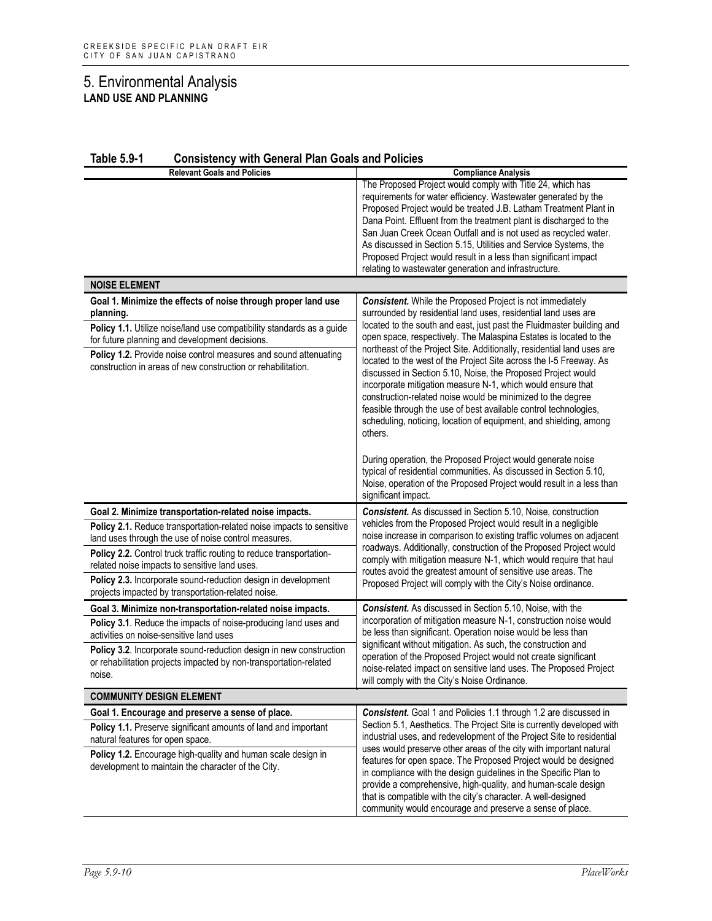| <b>Table 5.9-1</b><br><b>Consistency with General Plan Goals and Policies</b>                                                                                                                                                                                                                                                                    |                                                                                                                                                                                                                                                                                                                                                                                                                                                                                                                                                                                                                                                                                                                                                                                    |  |  |
|--------------------------------------------------------------------------------------------------------------------------------------------------------------------------------------------------------------------------------------------------------------------------------------------------------------------------------------------------|------------------------------------------------------------------------------------------------------------------------------------------------------------------------------------------------------------------------------------------------------------------------------------------------------------------------------------------------------------------------------------------------------------------------------------------------------------------------------------------------------------------------------------------------------------------------------------------------------------------------------------------------------------------------------------------------------------------------------------------------------------------------------------|--|--|
| <b>Relevant Goals and Policies</b>                                                                                                                                                                                                                                                                                                               | <b>Compliance Analysis</b>                                                                                                                                                                                                                                                                                                                                                                                                                                                                                                                                                                                                                                                                                                                                                         |  |  |
|                                                                                                                                                                                                                                                                                                                                                  | The Proposed Project would comply with Title 24, which has<br>requirements for water efficiency. Wastewater generated by the<br>Proposed Project would be treated J.B. Latham Treatment Plant in<br>Dana Point. Effluent from the treatment plant is discharged to the<br>San Juan Creek Ocean Outfall and is not used as recycled water.<br>As discussed in Section 5.15, Utilities and Service Systems, the<br>Proposed Project would result in a less than significant impact<br>relating to wastewater generation and infrastructure.                                                                                                                                                                                                                                          |  |  |
| <b>NOISE ELEMENT</b>                                                                                                                                                                                                                                                                                                                             |                                                                                                                                                                                                                                                                                                                                                                                                                                                                                                                                                                                                                                                                                                                                                                                    |  |  |
| Goal 1. Minimize the effects of noise through proper land use<br>planning.<br>Policy 1.1. Utilize noise/land use compatibility standards as a guide<br>for future planning and development decisions.<br><b>Policy 1.2.</b> Provide noise control measures and sound attenuating<br>construction in areas of new construction or rehabilitation. | <b>Consistent.</b> While the Proposed Project is not immediately<br>surrounded by residential land uses, residential land uses are<br>located to the south and east, just past the Fluidmaster building and<br>open space, respectively. The Malaspina Estates is located to the<br>northeast of the Project Site. Additionally, residential land uses are<br>located to the west of the Project Site across the I-5 Freeway. As<br>discussed in Section 5.10, Noise, the Proposed Project would<br>incorporate mitigation measure N-1, which would ensure that<br>construction-related noise would be minimized to the degree<br>feasible through the use of best available control technologies,<br>scheduling, noticing, location of equipment, and shielding, among<br>others. |  |  |
|                                                                                                                                                                                                                                                                                                                                                  | During operation, the Proposed Project would generate noise<br>typical of residential communities. As discussed in Section 5.10,<br>Noise, operation of the Proposed Project would result in a less than<br>significant impact.                                                                                                                                                                                                                                                                                                                                                                                                                                                                                                                                                    |  |  |
| Goal 2. Minimize transportation-related noise impacts.                                                                                                                                                                                                                                                                                           | <b>Consistent.</b> As discussed in Section 5.10, Noise, construction                                                                                                                                                                                                                                                                                                                                                                                                                                                                                                                                                                                                                                                                                                               |  |  |
| Policy 2.1. Reduce transportation-related noise impacts to sensitive<br>land uses through the use of noise control measures.<br>Policy 2.2. Control truck traffic routing to reduce transportation-                                                                                                                                              | vehicles from the Proposed Project would result in a negligible<br>noise increase in comparison to existing traffic volumes on adjacent<br>roadways. Additionally, construction of the Proposed Project would                                                                                                                                                                                                                                                                                                                                                                                                                                                                                                                                                                      |  |  |
| related noise impacts to sensitive land uses.                                                                                                                                                                                                                                                                                                    | comply with mitigation measure N-1, which would require that haul                                                                                                                                                                                                                                                                                                                                                                                                                                                                                                                                                                                                                                                                                                                  |  |  |
| Policy 2.3. Incorporate sound-reduction design in development<br>projects impacted by transportation-related noise.                                                                                                                                                                                                                              | routes avoid the greatest amount of sensitive use areas. The<br>Proposed Project will comply with the City's Noise ordinance.                                                                                                                                                                                                                                                                                                                                                                                                                                                                                                                                                                                                                                                      |  |  |
| Goal 3. Minimize non-transportation-related noise impacts.                                                                                                                                                                                                                                                                                       | Consistent. As discussed in Section 5.10, Noise, with the                                                                                                                                                                                                                                                                                                                                                                                                                                                                                                                                                                                                                                                                                                                          |  |  |
| <b>Policy 3.1.</b> Reduce the impacts of noise-producing land uses and<br>activities on noise-sensitive land uses                                                                                                                                                                                                                                | incorporation of mitigation measure N-1, construction noise would<br>be less than significant. Operation noise would be less than<br>significant without mitigation. As such, the construction and                                                                                                                                                                                                                                                                                                                                                                                                                                                                                                                                                                                 |  |  |
| Policy 3.2. Incorporate sound-reduction design in new construction<br>or rehabilitation projects impacted by non-transportation-related<br>noise.                                                                                                                                                                                                | operation of the Proposed Project would not create significant<br>noise-related impact on sensitive land uses. The Proposed Project<br>will comply with the City's Noise Ordinance.                                                                                                                                                                                                                                                                                                                                                                                                                                                                                                                                                                                                |  |  |
| <b>COMMUNITY DESIGN ELEMENT</b>                                                                                                                                                                                                                                                                                                                  |                                                                                                                                                                                                                                                                                                                                                                                                                                                                                                                                                                                                                                                                                                                                                                                    |  |  |
| Goal 1. Encourage and preserve a sense of place.<br>Policy 1.1. Preserve significant amounts of land and important<br>natural features for open space.<br>Policy 1.2. Encourage high-quality and human scale design in<br>development to maintain the character of the City.                                                                     | <b>Consistent.</b> Goal 1 and Policies 1.1 through 1.2 are discussed in<br>Section 5.1, Aesthetics. The Project Site is currently developed with<br>industrial uses, and redevelopment of the Project Site to residential<br>uses would preserve other areas of the city with important natural<br>features for open space. The Proposed Project would be designed<br>in compliance with the design guidelines in the Specific Plan to<br>provide a comprehensive, high-quality, and human-scale design<br>that is compatible with the city's character. A well-designed<br>community would encourage and preserve a sense of place.                                                                                                                                               |  |  |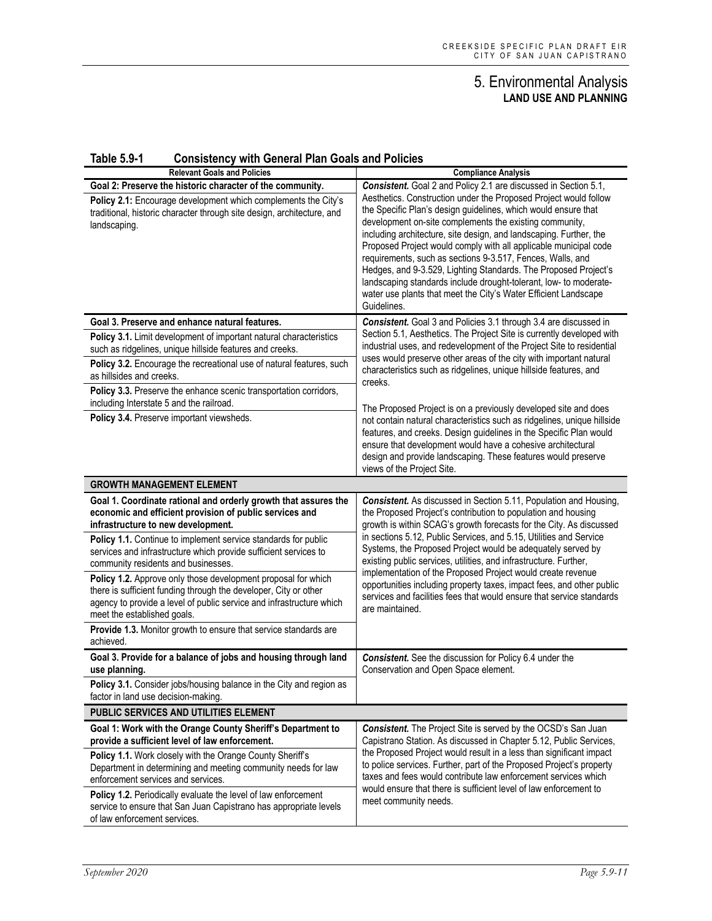| <u>1901 - 196</u><br>Consistency with General Plan Goals and Policies<br><b>Relevant Goals and Policies</b>                                                                                                                                                                                            | <b>Compliance Analysis</b>                                                                                                                                                                                                                                                                                                                                                                                                                                                                                                                                                                                                      |
|--------------------------------------------------------------------------------------------------------------------------------------------------------------------------------------------------------------------------------------------------------------------------------------------------------|---------------------------------------------------------------------------------------------------------------------------------------------------------------------------------------------------------------------------------------------------------------------------------------------------------------------------------------------------------------------------------------------------------------------------------------------------------------------------------------------------------------------------------------------------------------------------------------------------------------------------------|
| Goal 2: Preserve the historic character of the community.                                                                                                                                                                                                                                              | <b>Consistent.</b> Goal 2 and Policy 2.1 are discussed in Section 5.1,                                                                                                                                                                                                                                                                                                                                                                                                                                                                                                                                                          |
| Policy 2.1: Encourage development which complements the City's<br>traditional, historic character through site design, architecture, and<br>landscaping.                                                                                                                                               | Aesthetics. Construction under the Proposed Project would follow<br>the Specific Plan's design guidelines, which would ensure that<br>development on-site complements the existing community,<br>including architecture, site design, and landscaping. Further, the<br>Proposed Project would comply with all applicable municipal code<br>requirements, such as sections 9-3.517, Fences, Walls, and<br>Hedges, and 9-3.529, Lighting Standards. The Proposed Project's<br>landscaping standards include drought-tolerant, low- to moderate-<br>water use plants that meet the City's Water Efficient Landscape<br>Guidelines. |
| Goal 3. Preserve and enhance natural features.                                                                                                                                                                                                                                                         | Consistent. Goal 3 and Policies 3.1 through 3.4 are discussed in                                                                                                                                                                                                                                                                                                                                                                                                                                                                                                                                                                |
| Policy 3.1. Limit development of important natural characteristics<br>such as ridgelines, unique hillside features and creeks.                                                                                                                                                                         | Section 5.1, Aesthetics. The Project Site is currently developed with<br>industrial uses, and redevelopment of the Project Site to residential<br>uses would preserve other areas of the city with important natural                                                                                                                                                                                                                                                                                                                                                                                                            |
| Policy 3.2. Encourage the recreational use of natural features, such<br>as hillsides and creeks.                                                                                                                                                                                                       | characteristics such as ridgelines, unique hillside features, and<br>creeks.                                                                                                                                                                                                                                                                                                                                                                                                                                                                                                                                                    |
| Policy 3.3. Preserve the enhance scenic transportation corridors,<br>including Interstate 5 and the railroad.                                                                                                                                                                                          | The Proposed Project is on a previously developed site and does                                                                                                                                                                                                                                                                                                                                                                                                                                                                                                                                                                 |
| Policy 3.4. Preserve important viewsheds.                                                                                                                                                                                                                                                              | not contain natural characteristics such as ridgelines, unique hillside<br>features, and creeks. Design guidelines in the Specific Plan would<br>ensure that development would have a cohesive architectural<br>design and provide landscaping. These features would preserve<br>views of the Project Site.                                                                                                                                                                                                                                                                                                                     |
| <b>GROWTH MANAGEMENT ELEMENT</b>                                                                                                                                                                                                                                                                       |                                                                                                                                                                                                                                                                                                                                                                                                                                                                                                                                                                                                                                 |
| Goal 1. Coordinate rational and orderly growth that assures the<br>economic and efficient provision of public services and<br>infrastructure to new development.<br>Policy 1.1. Continue to implement service standards for public<br>services and infrastructure which provide sufficient services to | Consistent. As discussed in Section 5.11, Population and Housing,<br>the Proposed Project's contribution to population and housing<br>growth is within SCAG's growth forecasts for the City. As discussed<br>in sections 5.12, Public Services, and 5.15, Utilities and Service<br>Systems, the Proposed Project would be adequately served by<br>existing public services, utilities, and infrastructure. Further,                                                                                                                                                                                                             |
| community residents and businesses.<br>Policy 1.2. Approve only those development proposal for which<br>there is sufficient funding through the developer, City or other<br>agency to provide a level of public service and infrastructure which<br>meet the established goals.                        | implementation of the Proposed Project would create revenue<br>opportunities including property taxes, impact fees, and other public<br>services and facilities fees that would ensure that service standards<br>are maintained.                                                                                                                                                                                                                                                                                                                                                                                                |
| Provide 1.3. Monitor growth to ensure that service standards are<br>achieved.                                                                                                                                                                                                                          |                                                                                                                                                                                                                                                                                                                                                                                                                                                                                                                                                                                                                                 |
| Goal 3. Provide for a balance of jobs and housing through land<br>use planning.                                                                                                                                                                                                                        | <b>Consistent.</b> See the discussion for Policy 6.4 under the<br>Conservation and Open Space element.                                                                                                                                                                                                                                                                                                                                                                                                                                                                                                                          |
| <b>Policy 3.1.</b> Consider jobs/housing balance in the City and region as<br>factor in land use decision-making.                                                                                                                                                                                      |                                                                                                                                                                                                                                                                                                                                                                                                                                                                                                                                                                                                                                 |
| PUBLIC SERVICES AND UTILITIES ELEMENT                                                                                                                                                                                                                                                                  |                                                                                                                                                                                                                                                                                                                                                                                                                                                                                                                                                                                                                                 |
| Goal 1: Work with the Orange County Sheriff's Department to<br>provide a sufficient level of law enforcement.                                                                                                                                                                                          | Consistent. The Project Site is served by the OCSD's San Juan<br>Capistrano Station. As discussed in Chapter 5.12, Public Services,                                                                                                                                                                                                                                                                                                                                                                                                                                                                                             |
| Policy 1.1. Work closely with the Orange County Sheriff's<br>Department in determining and meeting community needs for law<br>enforcement services and services.                                                                                                                                       | the Proposed Project would result in a less than significant impact<br>to police services. Further, part of the Proposed Project's property<br>taxes and fees would contribute law enforcement services which<br>would ensure that there is sufficient level of law enforcement to                                                                                                                                                                                                                                                                                                                                              |
| Policy 1.2. Periodically evaluate the level of law enforcement<br>service to ensure that San Juan Capistrano has appropriate levels<br>of law enforcement services.                                                                                                                                    | meet community needs.                                                                                                                                                                                                                                                                                                                                                                                                                                                                                                                                                                                                           |

#### **Table 5.9-1 Consistency with General Plan Goals and Policies**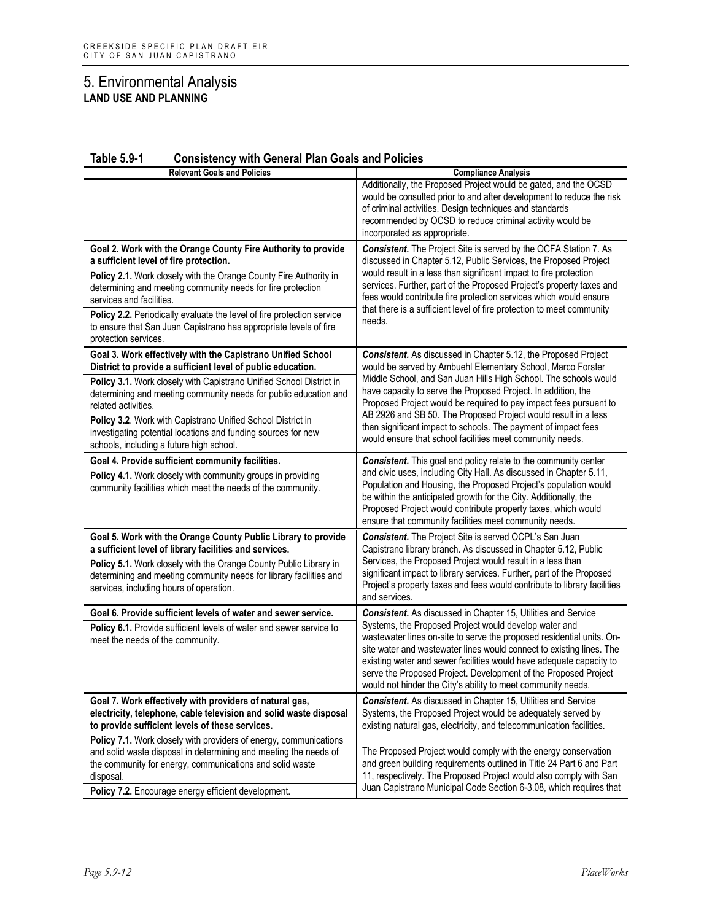| <b>Relevant Goals and Policies</b>                                                                                                                                                                             | <b>Compliance Analysis</b>                                                                                                                                                                                                                                                                                                                                                                                       |
|----------------------------------------------------------------------------------------------------------------------------------------------------------------------------------------------------------------|------------------------------------------------------------------------------------------------------------------------------------------------------------------------------------------------------------------------------------------------------------------------------------------------------------------------------------------------------------------------------------------------------------------|
|                                                                                                                                                                                                                | Additionally, the Proposed Project would be gated, and the OCSD<br>would be consulted prior to and after development to reduce the risk<br>of criminal activities. Design techniques and standards<br>recommended by OCSD to reduce criminal activity would be<br>incorporated as appropriate.                                                                                                                   |
| Goal 2. Work with the Orange County Fire Authority to provide<br>a sufficient level of fire protection.                                                                                                        | Consistent. The Project Site is served by the OCFA Station 7. As<br>discussed in Chapter 5.12, Public Services, the Proposed Project                                                                                                                                                                                                                                                                             |
| Policy 2.1. Work closely with the Orange County Fire Authority in<br>determining and meeting community needs for fire protection<br>services and facilities.                                                   | would result in a less than significant impact to fire protection<br>services. Further, part of the Proposed Project's property taxes and<br>fees would contribute fire protection services which would ensure                                                                                                                                                                                                   |
| Policy 2.2. Periodically evaluate the level of fire protection service<br>to ensure that San Juan Capistrano has appropriate levels of fire<br>protection services.                                            | that there is a sufficient level of fire protection to meet community<br>needs.                                                                                                                                                                                                                                                                                                                                  |
| Goal 3. Work effectively with the Capistrano Unified School<br>District to provide a sufficient level of public education.                                                                                     | <b>Consistent.</b> As discussed in Chapter 5.12, the Proposed Project<br>would be served by Ambuehl Elementary School, Marco Forster                                                                                                                                                                                                                                                                             |
| Policy 3.1. Work closely with Capistrano Unified School District in<br>determining and meeting community needs for public education and<br>related activities.                                                 | Middle School, and San Juan Hills High School. The schools would<br>have capacity to serve the Proposed Project. In addition, the<br>Proposed Project would be required to pay impact fees pursuant to                                                                                                                                                                                                           |
| Policy 3.2. Work with Capistrano Unified School District in<br>investigating potential locations and funding sources for new<br>schools, including a future high school.                                       | AB 2926 and SB 50. The Proposed Project would result in a less<br>than significant impact to schools. The payment of impact fees<br>would ensure that school facilities meet community needs.                                                                                                                                                                                                                    |
| Goal 4. Provide sufficient community facilities.                                                                                                                                                               | <b>Consistent.</b> This goal and policy relate to the community center                                                                                                                                                                                                                                                                                                                                           |
| Policy 4.1. Work closely with community groups in providing<br>community facilities which meet the needs of the community.                                                                                     | and civic uses, including City Hall. As discussed in Chapter 5.11,<br>Population and Housing, the Proposed Project's population would<br>be within the anticipated growth for the City. Additionally, the<br>Proposed Project would contribute property taxes, which would<br>ensure that community facilities meet community needs.                                                                             |
| Goal 5. Work with the Orange County Public Library to provide<br>a sufficient level of library facilities and services.                                                                                        | Consistent. The Project Site is served OCPL's San Juan<br>Capistrano library branch. As discussed in Chapter 5.12, Public                                                                                                                                                                                                                                                                                        |
| Policy 5.1. Work closely with the Orange County Public Library in<br>determining and meeting community needs for library facilities and<br>services, including hours of operation.                             | Services, the Proposed Project would result in a less than<br>significant impact to library services. Further, part of the Proposed<br>Project's property taxes and fees would contribute to library facilities<br>and services.                                                                                                                                                                                 |
| Goal 6. Provide sufficient levels of water and sewer service.                                                                                                                                                  | <b>Consistent.</b> As discussed in Chapter 15, Utilities and Service                                                                                                                                                                                                                                                                                                                                             |
| Policy 6.1. Provide sufficient levels of water and sewer service to<br>meet the needs of the community.                                                                                                        | Systems, the Proposed Project would develop water and<br>wastewater lines on-site to serve the proposed residential units. On-<br>site water and wastewater lines would connect to existing lines. The<br>existing water and sewer facilities would have adequate capacity to<br>serve the Proposed Project. Development of the Proposed Project<br>would not hinder the City's ability to meet community needs. |
| Goal 7. Work effectively with providers of natural gas,<br>electricity, telephone, cable television and solid waste disposal<br>to provide sufficient levels of these services.                                | <b>Consistent.</b> As discussed in Chapter 15, Utilities and Service<br>Systems, the Proposed Project would be adequately served by<br>existing natural gas, electricity, and telecommunication facilities.                                                                                                                                                                                                      |
| Policy 7.1. Work closely with providers of energy, communications<br>and solid waste disposal in determining and meeting the needs of<br>the community for energy, communications and solid waste<br>disposal. | The Proposed Project would comply with the energy conservation<br>and green building requirements outlined in Title 24 Part 6 and Part<br>11, respectively. The Proposed Project would also comply with San<br>Juan Capistrano Municipal Code Section 6-3.08, which requires that                                                                                                                                |
| Policy 7.2. Encourage energy efficient development.                                                                                                                                                            |                                                                                                                                                                                                                                                                                                                                                                                                                  |

#### **Table 5.9-1 Consistency with General Plan Goals and Policies**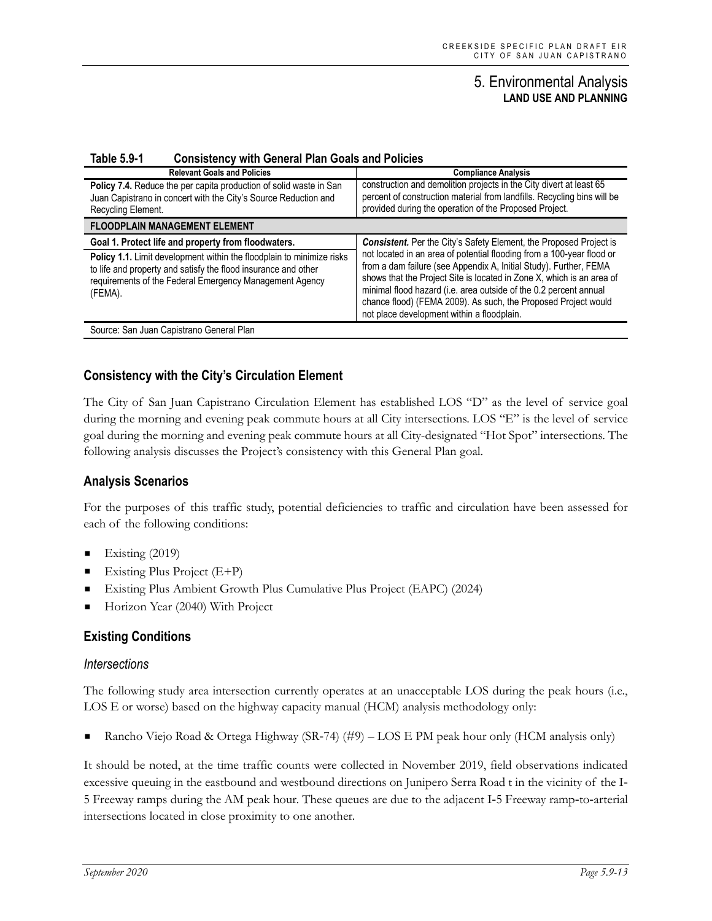#### **Table 5.9-1 Consistency with General Plan Goals and Policies**

| <b>Relevant Goals and Policies</b>                                                                                                                                                                            | <b>Compliance Analysis</b>                                                                                                                                                                                                                                                                                                                                                                               |
|---------------------------------------------------------------------------------------------------------------------------------------------------------------------------------------------------------------|----------------------------------------------------------------------------------------------------------------------------------------------------------------------------------------------------------------------------------------------------------------------------------------------------------------------------------------------------------------------------------------------------------|
| Policy 7.4. Reduce the per capita production of solid waste in San<br>Juan Capistrano in concert with the City's Source Reduction and<br>Recycling Element.                                                   | construction and demolition projects in the City divert at least 65<br>percent of construction material from landfills. Recycling bins will be<br>provided during the operation of the Proposed Project.                                                                                                                                                                                                 |
| <b>FLOODPLAIN MANAGEMENT ELEMENT</b>                                                                                                                                                                          |                                                                                                                                                                                                                                                                                                                                                                                                          |
| Goal 1. Protect life and property from floodwaters.                                                                                                                                                           | Consistent. Per the City's Safety Element, the Proposed Project is                                                                                                                                                                                                                                                                                                                                       |
| Policy 1.1. Limit development within the floodplain to minimize risks<br>to life and property and satisfy the flood insurance and other<br>requirements of the Federal Emergency Management Agency<br>(FEMA). | not located in an area of potential flooding from a 100-year flood or<br>from a dam failure (see Appendix A, Initial Study). Further, FEMA<br>shows that the Project Site is located in Zone X, which is an area of<br>minimal flood hazard (i.e. area outside of the 0.2 percent annual<br>chance flood) (FEMA 2009). As such, the Proposed Project would<br>not place development within a floodplain. |
| Source: San Juan Capistrano General Plan                                                                                                                                                                      |                                                                                                                                                                                                                                                                                                                                                                                                          |

#### **Consistency with the City's Circulation Element**

The City of San Juan Capistrano Circulation Element has established LOS "D" as the level of service goal during the morning and evening peak commute hours at all City intersections. LOS "E" is the level of service goal during the morning and evening peak commute hours at all City-designated "Hot Spot" intersections. The following analysis discusses the Project's consistency with this General Plan goal.

#### **Analysis Scenarios**

For the purposes of this traffic study, potential deficiencies to traffic and circulation have been assessed for each of the following conditions:

- Existing  $(2019)$
- Existing Plus Project (E+P)
- Existing Plus Ambient Growth Plus Cumulative Plus Project (EAPC) (2024)
- Horizon Year (2040) With Project

#### **Existing Conditions**

#### *Intersections*

The following study area intersection currently operates at an unacceptable LOS during the peak hours (i.e., LOS E or worse) based on the highway capacity manual (HCM) analysis methodology only:

Rancho Viejo Road & Ortega Highway (SR‐74) (#9) – LOS E PM peak hour only (HCM analysis only)

It should be noted, at the time traffic counts were collected in November 2019, field observations indicated excessive queuing in the eastbound and westbound directions on Junipero Serra Road t in the vicinity of the I-5 Freeway ramps during the AM peak hour. These queues are due to the adjacent I‐5 Freeway ramp‐to‐arterial intersections located in close proximity to one another.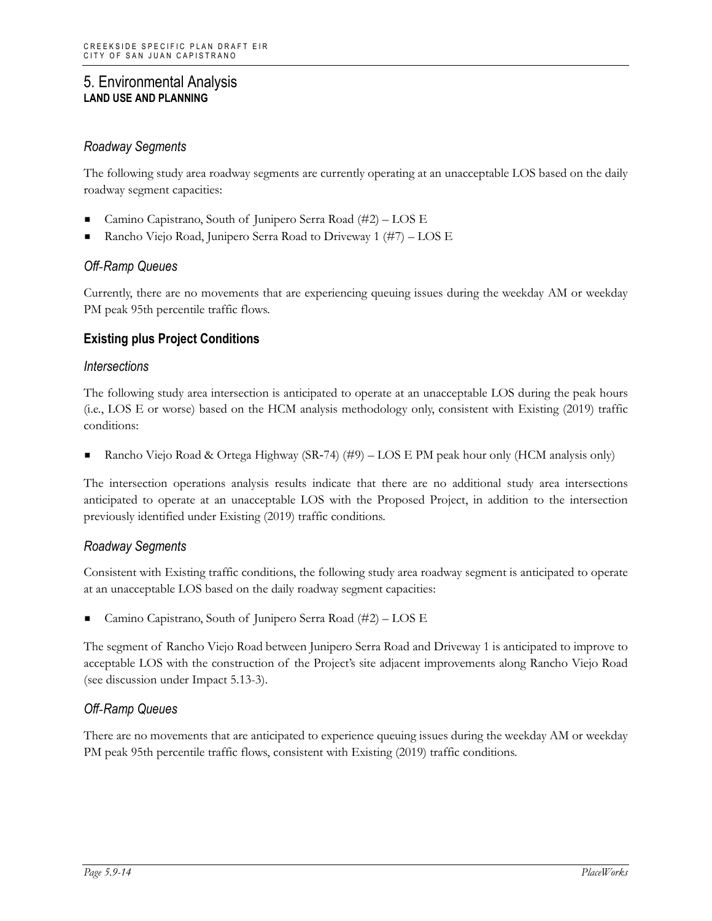## *Roadway Segments*

The following study area roadway segments are currently operating at an unacceptable LOS based on the daily roadway segment capacities:

- Camino Capistrano, South of Junipero Serra Road (#2) LOS E
- Rancho Viejo Road, Junipero Serra Road to Driveway 1 (#7) LOS E

## *Off‐Ramp Queues*

Currently, there are no movements that are experiencing queuing issues during the weekday AM or weekday PM peak 95th percentile traffic flows.

# **Existing plus Project Conditions**

#### *Intersections*

The following study area intersection is anticipated to operate at an unacceptable LOS during the peak hours (i.e., LOS E or worse) based on the HCM analysis methodology only, consistent with Existing (2019) traffic conditions:

Rancho Viejo Road & Ortega Highway (SR‐74) (#9) – LOS E PM peak hour only (HCM analysis only)

The intersection operations analysis results indicate that there are no additional study area intersections anticipated to operate at an unacceptable LOS with the Proposed Project, in addition to the intersection previously identified under Existing (2019) traffic conditions.

#### *Roadway Segments*

Consistent with Existing traffic conditions, the following study area roadway segment is anticipated to operate at an unacceptable LOS based on the daily roadway segment capacities:

Camino Capistrano, South of Junipero Serra Road (#2) – LOS E

The segment of Rancho Viejo Road between Junipero Serra Road and Driveway 1 is anticipated to improve to acceptable LOS with the construction of the Project's site adjacent improvements along Rancho Viejo Road (see discussion under Impact 5.13-3).

#### *Off‐Ramp Queues*

There are no movements that are anticipated to experience queuing issues during the weekday AM or weekday PM peak 95th percentile traffic flows, consistent with Existing (2019) traffic conditions.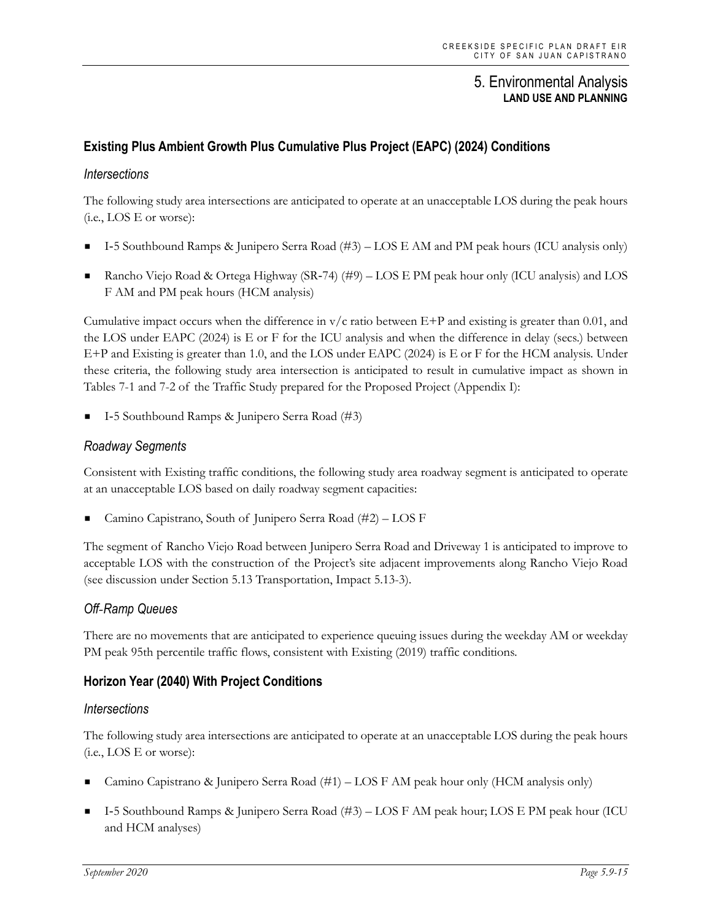# **Existing Plus Ambient Growth Plus Cumulative Plus Project (EAPC) (2024) Conditions**

#### *Intersections*

The following study area intersections are anticipated to operate at an unacceptable LOS during the peak hours (i.e., LOS E or worse):

- I‐5 Southbound Ramps & Junipero Serra Road (#3) LOS E AM and PM peak hours (ICU analysis only)
- Rancho Viejo Road & Ortega Highway (SR‐74) (#9) LOS E PM peak hour only (ICU analysis) and LOS F AM and PM peak hours (HCM analysis)

Cumulative impact occurs when the difference in  $v/c$  ratio between  $E+P$  and existing is greater than 0.01, and the LOS under EAPC (2024) is E or F for the ICU analysis and when the difference in delay (secs.) between E+P and Existing is greater than 1.0, and the LOS under EAPC (2024) is E or F for the HCM analysis. Under these criteria, the following study area intersection is anticipated to result in cumulative impact as shown in Tables 7-1 and 7-2 of the Traffic Study prepared for the Proposed Project (Appendix I):

I‐5 Southbound Ramps & Junipero Serra Road (#3)

#### *Roadway Segments*

Consistent with Existing traffic conditions, the following study area roadway segment is anticipated to operate at an unacceptable LOS based on daily roadway segment capacities:

Camino Capistrano, South of Junipero Serra Road (#2) – LOS F

The segment of Rancho Viejo Road between Junipero Serra Road and Driveway 1 is anticipated to improve to acceptable LOS with the construction of the Project's site adjacent improvements along Rancho Viejo Road (see discussion under Section 5.13 Transportation, Impact 5.13-3).

#### *Off‐Ramp Queues*

There are no movements that are anticipated to experience queuing issues during the weekday AM or weekday PM peak 95th percentile traffic flows, consistent with Existing (2019) traffic conditions.

# **Horizon Year (2040) With Project Conditions**

#### *Intersections*

The following study area intersections are anticipated to operate at an unacceptable LOS during the peak hours (i.e., LOS E or worse):

- Camino Capistrano & Junipero Serra Road (#1) LOS F AM peak hour only (HCM analysis only)
- I‐5 Southbound Ramps & Junipero Serra Road (#3) LOS F AM peak hour; LOS E PM peak hour (ICU and HCM analyses)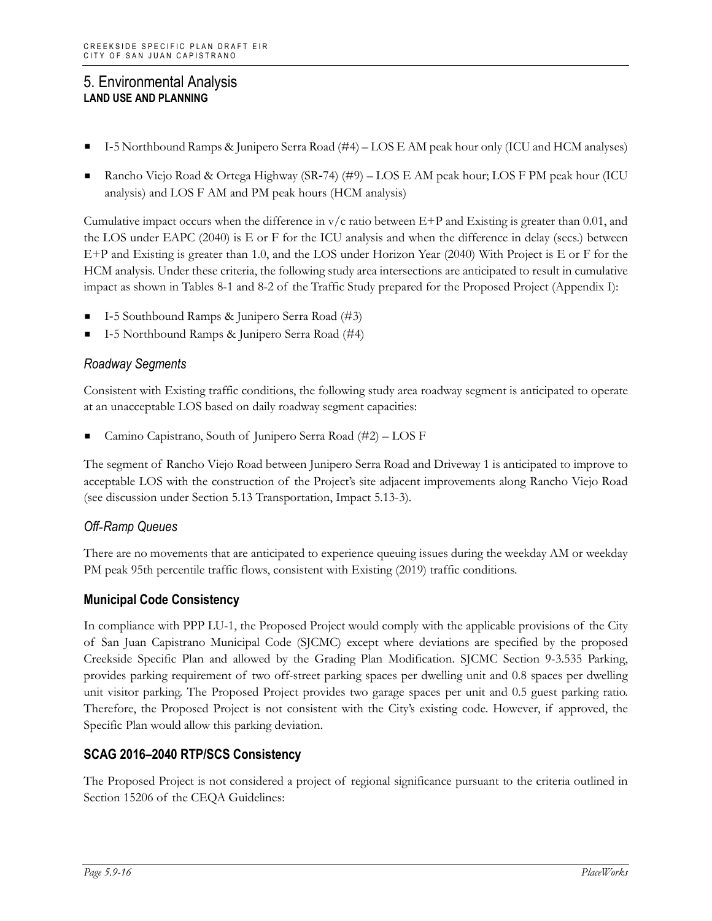- I‐5 Northbound Ramps & Junipero Serra Road (#4) LOS E AM peak hour only (ICU and HCM analyses)
- Rancho Viejo Road & Ortega Highway (SR‐74) (#9) LOS E AM peak hour; LOS F PM peak hour (ICU analysis) and LOS F AM and PM peak hours (HCM analysis)

Cumulative impact occurs when the difference in  $v/c$  ratio between E+P and Existing is greater than 0.01, and the LOS under EAPC (2040) is E or F for the ICU analysis and when the difference in delay (secs.) between E+P and Existing is greater than 1.0, and the LOS under Horizon Year (2040) With Project is E or F for the HCM analysis. Under these criteria, the following study area intersections are anticipated to result in cumulative impact as shown in Tables 8-1 and 8-2 of the Traffic Study prepared for the Proposed Project (Appendix I):

- I‐5 Southbound Ramps & Junipero Serra Road (#3)
- I‐5 Northbound Ramps & Junipero Serra Road (#4)

## *Roadway Segments*

Consistent with Existing traffic conditions, the following study area roadway segment is anticipated to operate at an unacceptable LOS based on daily roadway segment capacities:

Camino Capistrano, South of Junipero Serra Road (#2) – LOS F

The segment of Rancho Viejo Road between Junipero Serra Road and Driveway 1 is anticipated to improve to acceptable LOS with the construction of the Project's site adjacent improvements along Rancho Viejo Road (see discussion under Section 5.13 Transportation, Impact 5.13-3).

#### *Off‐Ramp Queues*

There are no movements that are anticipated to experience queuing issues during the weekday AM or weekday PM peak 95th percentile traffic flows, consistent with Existing (2019) traffic conditions.

#### **Municipal Code Consistency**

In compliance with PPP LU-1, the Proposed Project would comply with the applicable provisions of the City of San Juan Capistrano Municipal Code (SJCMC) except where deviations are specified by the proposed Creekside Specific Plan and allowed by the Grading Plan Modification. SJCMC Section 9-3.535 Parking, provides parking requirement of two off-street parking spaces per dwelling unit and 0.8 spaces per dwelling unit visitor parking. The Proposed Project provides two garage spaces per unit and 0.5 guest parking ratio. Therefore, the Proposed Project is not consistent with the City's existing code. However, if approved, the Specific Plan would allow this parking deviation.

#### **SCAG 2016–2040 RTP/SCS Consistency**

The Proposed Project is not considered a project of regional significance pursuant to the criteria outlined in Section 15206 of the CEQA Guidelines: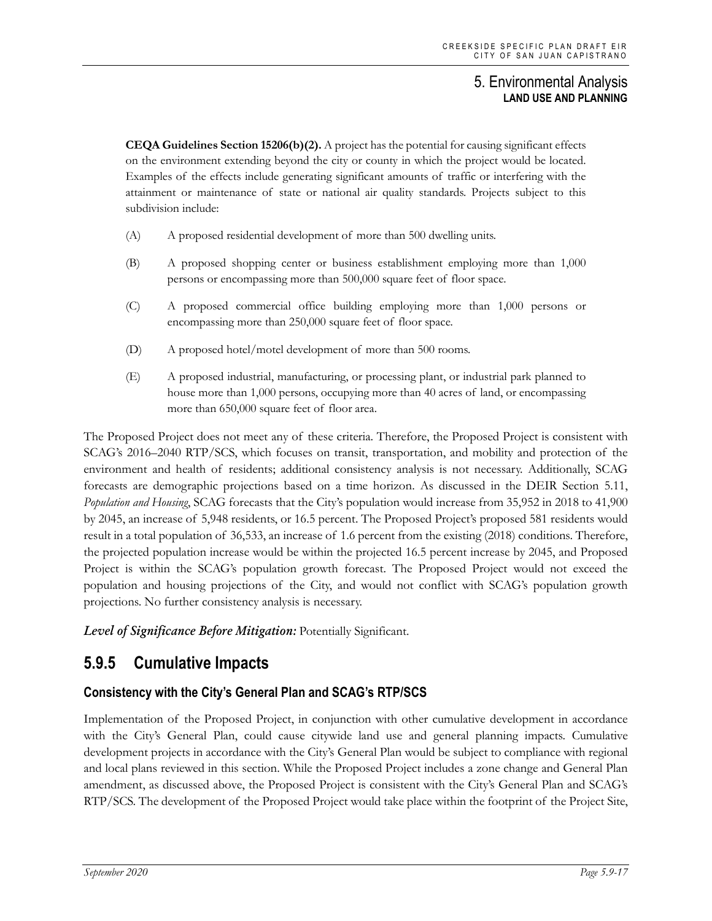**CEQA Guidelines Section 15206(b)(2).** A project has the potential for causing significant effects on the environment extending beyond the city or county in which the project would be located. Examples of the effects include generating significant amounts of traffic or interfering with the attainment or maintenance of state or national air quality standards. Projects subject to this subdivision include:

- (A) A proposed residential development of more than 500 dwelling units.
- (B) A proposed shopping center or business establishment employing more than 1,000 persons or encompassing more than 500,000 square feet of floor space.
- (C) A proposed commercial office building employing more than 1,000 persons or encompassing more than 250,000 square feet of floor space.
- (D) A proposed hotel/motel development of more than 500 rooms.
- (E) A proposed industrial, manufacturing, or processing plant, or industrial park planned to house more than 1,000 persons, occupying more than 40 acres of land, or encompassing more than 650,000 square feet of floor area.

The Proposed Project does not meet any of these criteria. Therefore, the Proposed Project is consistent with SCAG's 2016–2040 RTP/SCS, which focuses on transit, transportation, and mobility and protection of the environment and health of residents; additional consistency analysis is not necessary. Additionally, SCAG forecasts are demographic projections based on a time horizon. As discussed in the DEIR Section 5.11, *Population and Housing*, SCAG forecasts that the City's population would increase from 35,952 in 2018 to 41,900 by 2045, an increase of 5,948 residents, or 16.5 percent. The Proposed Project's proposed 581 residents would result in a total population of 36,533, an increase of 1.6 percent from the existing (2018) conditions. Therefore, the projected population increase would be within the projected 16.5 percent increase by 2045, and Proposed Project is within the SCAG's population growth forecast. The Proposed Project would not exceed the population and housing projections of the City, and would not conflict with SCAG's population growth projections. No further consistency analysis is necessary.

*Level of Significance Before Mitigation:* Potentially Significant.

# **5.9.5 Cumulative Impacts**

# **Consistency with the City's General Plan and SCAG's RTP/SCS**

Implementation of the Proposed Project, in conjunction with other cumulative development in accordance with the City's General Plan, could cause citywide land use and general planning impacts. Cumulative development projects in accordance with the City's General Plan would be subject to compliance with regional and local plans reviewed in this section. While the Proposed Project includes a zone change and General Plan amendment, as discussed above, the Proposed Project is consistent with the City's General Plan and SCAG's RTP/SCS. The development of the Proposed Project would take place within the footprint of the Project Site,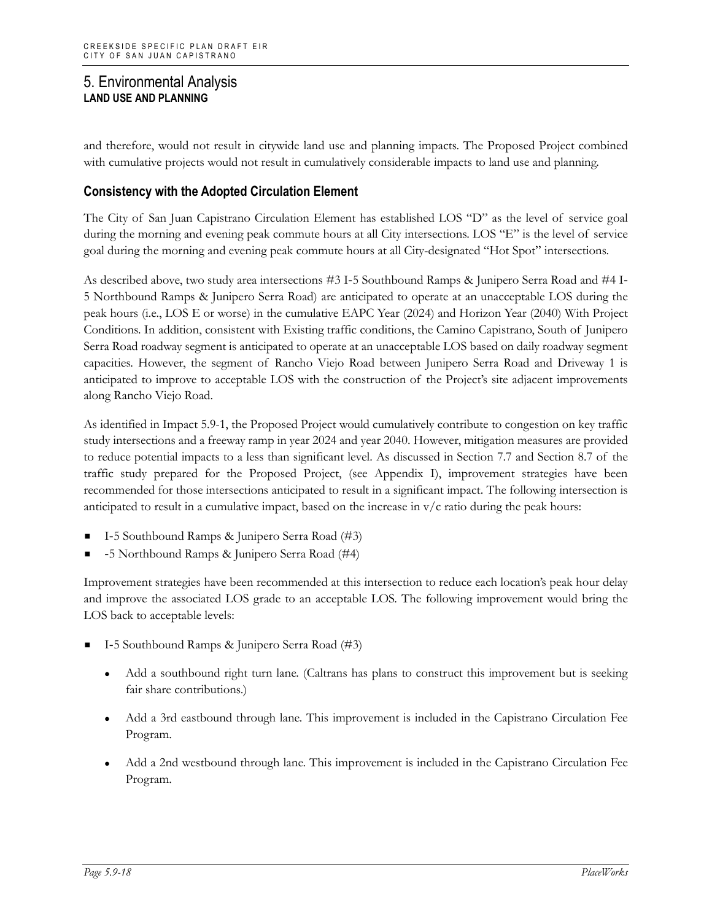and therefore, would not result in citywide land use and planning impacts. The Proposed Project combined with cumulative projects would not result in cumulatively considerable impacts to land use and planning.

# **Consistency with the Adopted Circulation Element**

The City of San Juan Capistrano Circulation Element has established LOS "D" as the level of service goal during the morning and evening peak commute hours at all City intersections. LOS "E" is the level of service goal during the morning and evening peak commute hours at all City-designated "Hot Spot" intersections.

As described above, two study area intersections #3 I-5 Southbound Ramps & Junipero Serra Road and #4 I-5 Northbound Ramps & Junipero Serra Road) are anticipated to operate at an unacceptable LOS during the peak hours (i.e., LOS E or worse) in the cumulative EAPC Year (2024) and Horizon Year (2040) With Project Conditions. In addition, consistent with Existing traffic conditions, the Camino Capistrano, South of Junipero Serra Road roadway segment is anticipated to operate at an unacceptable LOS based on daily roadway segment capacities. However, the segment of Rancho Viejo Road between Junipero Serra Road and Driveway 1 is anticipated to improve to acceptable LOS with the construction of the Project's site adjacent improvements along Rancho Viejo Road.

As identified in Impact 5.9-1, the Proposed Project would cumulatively contribute to congestion on key traffic study intersections and a freeway ramp in year 2024 and year 2040. However, mitigation measures are provided to reduce potential impacts to a less than significant level. As discussed in Section 7.7 and Section 8.7 of the traffic study prepared for the Proposed Project, (see Appendix I), improvement strategies have been recommended for those intersections anticipated to result in a significant impact. The following intersection is anticipated to result in a cumulative impact, based on the increase in  $v/c$  ratio during the peak hours:

- I‐5 Southbound Ramps & Junipero Serra Road (#3)
- ‐5 Northbound Ramps & Junipero Serra Road (#4)

Improvement strategies have been recommended at this intersection to reduce each location's peak hour delay and improve the associated LOS grade to an acceptable LOS. The following improvement would bring the LOS back to acceptable levels:

- I‐5 Southbound Ramps & Junipero Serra Road (#3)
	- Add a southbound right turn lane. (Caltrans has plans to construct this improvement but is seeking fair share contributions.)
	- Add a 3rd eastbound through lane. This improvement is included in the Capistrano Circulation Fee Program.
	- Add a 2nd westbound through lane. This improvement is included in the Capistrano Circulation Fee Program.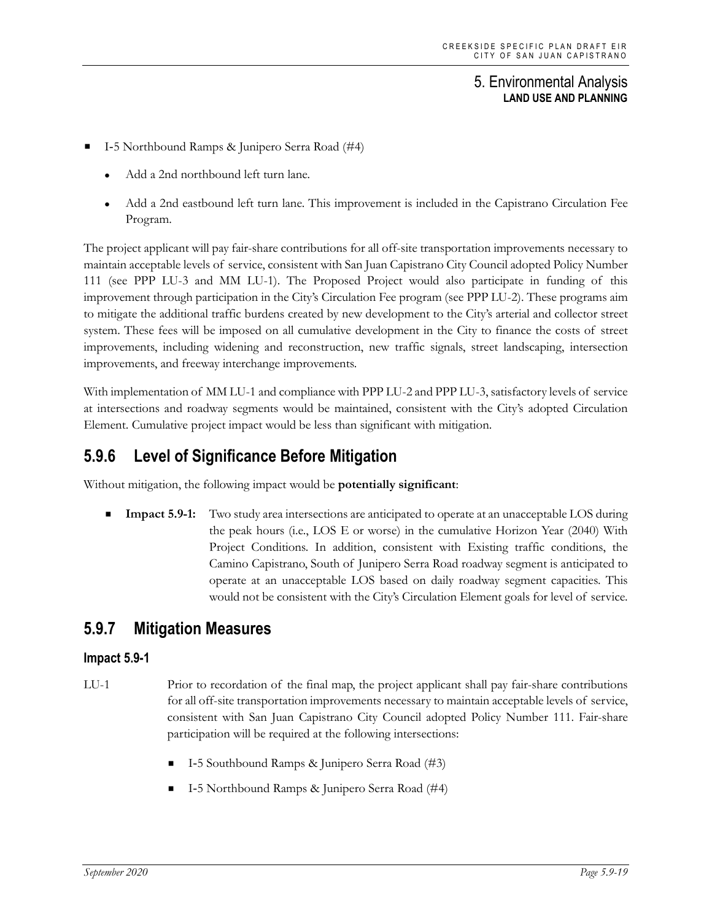- I‐5 Northbound Ramps & Junipero Serra Road (#4)
	- Add a 2nd northbound left turn lane.
	- Add a 2nd eastbound left turn lane. This improvement is included in the Capistrano Circulation Fee Program.

The project applicant will pay fair-share contributions for all off-site transportation improvements necessary to maintain acceptable levels of service, consistent with San Juan Capistrano City Council adopted Policy Number 111 (see PPP LU-3 and MM LU-1). The Proposed Project would also participate in funding of this improvement through participation in the City's Circulation Fee program (see PPP LU-2). These programs aim to mitigate the additional traffic burdens created by new development to the City's arterial and collector street system. These fees will be imposed on all cumulative development in the City to finance the costs of street improvements, including widening and reconstruction, new traffic signals, street landscaping, intersection improvements, and freeway interchange improvements.

With implementation of MM LU-1 and compliance with PPP LU-2 and PPP LU-3, satisfactory levels of service at intersections and roadway segments would be maintained, consistent with the City's adopted Circulation Element. Cumulative project impact would be less than significant with mitigation.

# **5.9.6 Level of Significance Before Mitigation**

Without mitigation, the following impact would be **potentially significant**:

**Impact 5.9-1:** Two study area intersections are anticipated to operate at an unacceptable LOS during the peak hours (i.e., LOS E or worse) in the cumulative Horizon Year (2040) With Project Conditions. In addition, consistent with Existing traffic conditions, the Camino Capistrano, South of Junipero Serra Road roadway segment is anticipated to operate at an unacceptable LOS based on daily roadway segment capacities. This would not be consistent with the City's Circulation Element goals for level of service.

# **5.9.7 Mitigation Measures**

#### **Impact 5.9-1**

- LU-1 Prior to recordation of the final map, the project applicant shall pay fair-share contributions for all off-site transportation improvements necessary to maintain acceptable levels of service, consistent with San Juan Capistrano City Council adopted Policy Number 111. Fair-share participation will be required at the following intersections:
	- I‐5 Southbound Ramps & Junipero Serra Road (#3)
	- I‐5 Northbound Ramps & Junipero Serra Road (#4)